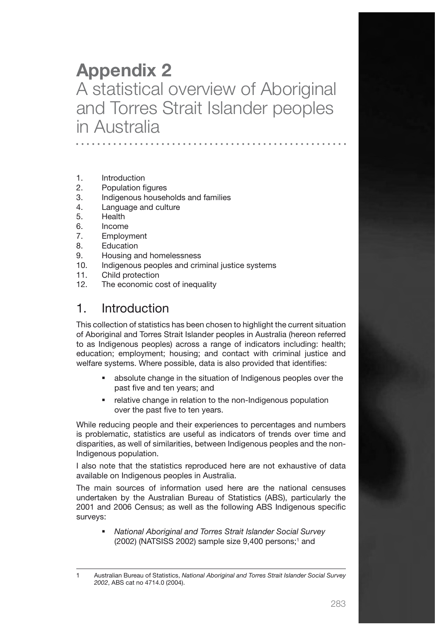# Appendix 2 A statistical overview of Aboriginal and Torres Strait Islander peoples in Australia

- 1. Introduction
- 2. Population figures
- 3. Indigenous households and families
- 4. Language and culture
- 5. Health
- 6. Income
- 7. Employment
- 8. Education
- 9. Housing and homelessness
- 10. Indigenous peoples and criminal justice systems
- 11. Child protection
- 12. The economic cost of inequality

# 1. Introduction

This collection of statistics has been chosen to highlight the current situation of Aboriginal and Torres Strait Islander peoples in Australia (hereon referred to as Indigenous peoples) across a range of indicators including: health; education; employment; housing; and contact with criminal justice and welfare systems. Where possible, data is also provided that identifies:

- absolute change in the situation of Indigenous peoples over the past five and ten years; and
- **•** relative change in relation to the non-Indigenous population over the past five to ten years.

While reducing people and their experiences to percentages and numbers is problematic, statistics are useful as indicators of trends over time and disparities, as well of similarities, between Indigenous peoples and the non-Indigenous population.

I also note that the statistics reproduced here are not exhaustive of data available on Indigenous peoples in Australia.

The main sources of information used here are the national censuses undertaken by the Australian Bureau of Statistics (ABS), particularly the 2001 and 2006 Census; as well as the following ABS Indigenous specific surveys:

 *National Aboriginal and Torres Strait Islander Social Survey*  $(2002)$  (NATSISS 2002) sample size  $9,400$  persons;<sup>1</sup> and

<sup>1</sup> Australian Bureau of Statistics, *National Aboriginal and Torres Strait Islander Social Survey 2002*, ABS cat no 4714.0 (2004).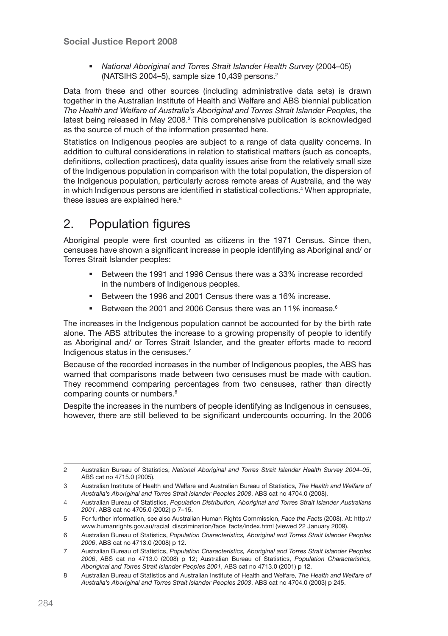*National Aboriginal and Torres Strait Islander Health Survey* (2004–05) (NATSIHS 2004–5), sample size 10,439 persons.2

Data from these and other sources (including administrative data sets) is drawn together in the Australian Institute of Health and Welfare and ABS biennial publication *The Health and Welfare of Australia's Aboriginal and Torres Strait Islander Peoples*, the latest being released in May 2008.<sup>3</sup> This comprehensive publication is acknowledged as the source of much of the information presented here.

Statistics on Indigenous peoples are subject to a range of data quality concerns. In addition to cultural considerations in relation to statistical matters (such as concepts, definitions, collection practices), data quality issues arise from the relatively small size of the Indigenous population in comparison with the total population, the dispersion of the Indigenous population, particularly across remote areas of Australia, and the way in which Indigenous persons are identified in statistical collections.<sup>4</sup> When appropriate, these issues are explained here.<sup>5</sup>

# 2. Population figures

Aboriginal people were first counted as citizens in the 1971 Census. Since then, censuses have shown a significant increase in people identifying as Aboriginal and/ or Torres Strait Islander peoples:

- Between the 1991 and 1996 Census there was a 33% increase recorded in the numbers of Indigenous peoples.
- Between the 1996 and 2001 Census there was a 16% increase.
- Between the 2001 and 2006 Census there was an 11% increase.<sup>6</sup>

The increases in the Indigenous population cannot be accounted for by the birth rate alone. The ABS attributes the increase to a growing propensity of people to identify as Aboriginal and/ or Torres Strait Islander, and the greater efforts made to record Indigenous status in the censuses.7

Because of the recorded increases in the number of Indigenous peoples, the ABS has warned that comparisons made between two censuses must be made with caution. They recommend comparing percentages from two censuses, rather than directly comparing counts or numbers.<sup>8</sup>

Despite the increases in the numbers of people identifying as Indigenous in censuses, however, there are still believed to be significant undercounts occurring. In the 2006

<sup>2</sup> Australian Bureau of Statistics, *National Aboriginal and Torres Strait Islander Health Survey 2004–05*, ABS cat no 4715.0 (2005).

<sup>3</sup> Australian Institute of Health and Welfare and Australian Bureau of Statistics, *The Health and Welfare of Australia's Aboriginal and Torres Strait Islander Peoples 2008*, ABS cat no 4704.0 (2008).

<sup>4</sup> Australian Bureau of Statistics, *Population Distribution, Aboriginal and Torres Strait Islander Australians 2001*, ABS cat no 4705.0 (2002) p 7–15.

<sup>5</sup> For further information, see also Australian Human Rights Commission, *Face the Facts* (2008). At: http:// www.humanrights.gov.au/racial\_discrimination/face\_facts/index.html (viewed 22 January 2009).

<sup>6</sup> Australian Bureau of Statistics, *Population Characteristics, Aboriginal and Torres Strait Islander Peoples 2006*, ABS cat no 4713.0 (2008) p 12.

<sup>7</sup> Australian Bureau of Statistics, *Population Characteristics, Aboriginal and Torres Strait Islander Peoples 2006*, ABS cat no 4713.0 (2008) p 12; Australian Bureau of Statistics, *Population Characteristics, Aboriginal and Torres Strait Islander Peoples 2001*, ABS cat no 4713.0 (2001) p 12.

<sup>8</sup> Australian Bureau of Statistics and Australian Institute of Health and Welfare, *The Health and Welfare of Australia's Aboriginal and Torres Strait Islander Peoples 2003*, ABS cat no 4704.0 (2003) p 245.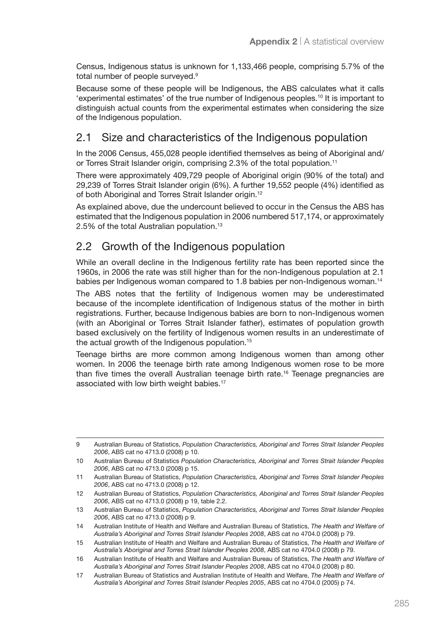Census, Indigenous status is unknown for 1,133,466 people, comprising 5.7% of the total number of people surveyed.<sup>9</sup>

Because some of these people will be Indigenous, the ABS calculates what it calls 'experimental estimates' of the true number of Indigenous peoples.10 It is important to distinguish actual counts from the experimental estimates when considering the size of the Indigenous population.

### 2.1 Size and characteristics of the Indigenous population

In the 2006 Census, 455,028 people identified themselves as being of Aboriginal and/ or Torres Strait Islander origin, comprising 2.3% of the total population.<sup>11</sup>

There were approximately 409,729 people of Aboriginal origin (90% of the total) and 29,239 of Torres Strait Islander origin (6%). A further 19,552 people (4%) identified as of both Aboriginal and Torres Strait Islander origin.12

As explained above, due the undercount believed to occur in the Census the ABS has estimated that the Indigenous population in 2006 numbered 517,174, or approximately 2.5% of the total Australian population.13

### 2.2 Growth of the Indigenous population

While an overall decline in the Indigenous fertility rate has been reported since the 1960s, in 2006 the rate was still higher than for the non-Indigenous population at 2.1 babies per Indigenous woman compared to 1.8 babies per non-Indigenous woman.14

The ABS notes that the fertility of Indigenous women may be underestimated because of the incomplete identification of Indigenous status of the mother in birth registrations. Further, because Indigenous babies are born to non-Indigenous women (with an Aboriginal or Torres Strait Islander father), estimates of population growth based exclusively on the fertility of Indigenous women results in an underestimate of the actual growth of the Indigenous population.<sup>15</sup>

Teenage births are more common among Indigenous women than among other women. In 2006 the teenage birth rate among Indigenous women rose to be more than five times the overall Australian teenage birth rate.16 Teenage pregnancies are associated with low birth weight babies.<sup>17</sup>

<sup>9</sup> Australian Bureau of Statistics, *Population Characteristics, Aboriginal and Torres Strait Islander Peoples 2006*, ABS cat no 4713.0 (2008) p 10.

<sup>10</sup> Australian Bureau of Statistics *Population Characteristics, Aboriginal and Torres Strait Islander Peoples 2006*, ABS cat no 4713.0 (2008) p 15.

<sup>11</sup> Australian Bureau of Statistics, *Population Characteristics, Aboriginal and Torres Strait Islander Peoples 2006*, ABS cat no 4713.0 (2008) p 12.

<sup>12</sup> Australian Bureau of Statistics, *Population Characteristics, Aboriginal and Torres Strait Islander Peoples 2006*, ABS cat no 4713.0 (2008) p 19, table 2.2.

<sup>13</sup> Australian Bureau of Statistics, *Population Characteristics, Aboriginal and Torres Strait Islander Peoples 2006*, ABS cat no 4713.0 (2008) p 9.

<sup>14</sup> Australian Institute of Health and Welfare and Australian Bureau of Statistics, *The Health and Welfare of Australia's Aboriginal and Torres Strait Islander Peoples 2008*, ABS cat no 4704.0 (2008) p 79.

<sup>15</sup> Australian Institute of Health and Welfare and Australian Bureau of Statistics, *The Health and Welfare of Australia's Aboriginal and Torres Strait Islander Peoples 2008*, ABS cat no 4704.0 (2008) p 79.

<sup>16</sup> Australian Institute of Health and Welfare and Australian Bureau of Statistics, *The Health and Welfare of Australia's Aboriginal and Torres Strait Islander Peoples 2008*, ABS cat no 4704.0 (2008) p 80.

<sup>17</sup> Australian Bureau of Statistics and Australian Institute of Health and Welfare, *The Health and Welfare of Australia's Aboriginal and Torres Strait Islander Peoples 2005*, ABS cat no 4704.0 (2005) p 74.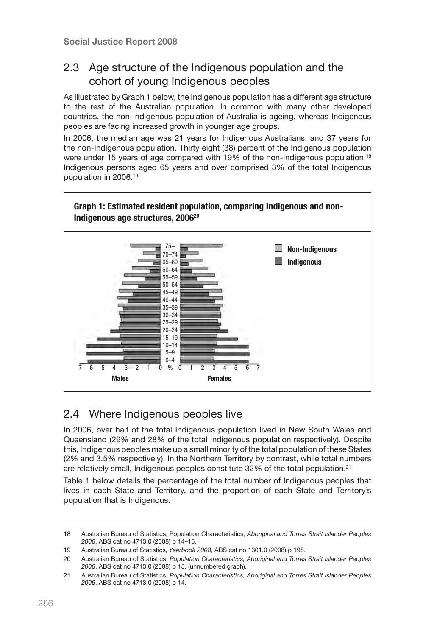### 2.3 Age structure of the Indigenous population and the cohort of young Indigenous peoples

As illustrated by Graph 1 below, the Indigenous population has a different age structure to the rest of the Australian population. In common with many other developed countries, the non-Indigenous population of Australia is ageing, whereas Indigenous peoples are facing increased growth in younger age groups.

In 2006, the median age was 21 years for Indigenous Australians, and 37 years for the non-Indigenous population. Thirty eight (38) percent of the Indigenous population were under 15 years of age compared with 19% of the non-Indigenous population.<sup>18</sup> Indigenous persons aged 65 years and over comprised 3% of the total Indigenous population in 2006.<sup>19</sup>



### 2.4 Where Indigenous peoples live

In 2006, over half of the total Indigenous population lived in New South Wales and Queensland (29% and 28% of the total Indigenous population respectively). Despite this, Indigenous peoples make up a small minority of the total population of these States (2% and 3.5% respectively). In the Northern Territory by contrast, while total numbers are relatively small, Indigenous peoples constitute 32% of the total population.<sup>21</sup>

Table 1 below details the percentage of the total number of Indigenous peoples that lives in each State and Territory, and the proportion of each State and Territory's population that is Indigenous.

<sup>18</sup> Australian Bureau of Statistics, Population Characteristics, *Aboriginal and Torres Strait Islander Peoples 2006*, ABS cat no 4713.0 (2008) p 14–15.

<sup>19</sup> Australian Bureau of Statistics, *Yearbook 2008*, ABS cat no 1301.0 (2008) p 198.

<sup>20</sup> Australian Bureau of Statistics, *Population Characteristics, Aboriginal and Torres Strait Islander Peoples 2006*, ABS cat no 4713.0 (2008) p 15, (unnumbered graph).

<sup>21</sup> Australian Bureau of Statistics, *Population Characteristics, Aboriginal and Torres Strait Islander Peoples 2006*, ABS cat no 4713.0 (2008) p 14.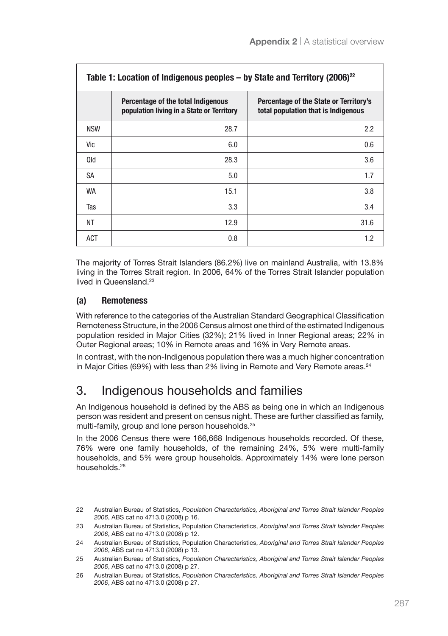| Table 1: Location of Indigenous peoples – by State and Territory (2006) <sup>22</sup> |                                                                                 |                                                                               |  |
|---------------------------------------------------------------------------------------|---------------------------------------------------------------------------------|-------------------------------------------------------------------------------|--|
|                                                                                       | Percentage of the total Indigenous<br>population living in a State or Territory | Percentage of the State or Territory's<br>total population that is Indigenous |  |
| <b>NSW</b>                                                                            | 28.7                                                                            | $2.2\phantom{0}$                                                              |  |
| Vic                                                                                   | 6.0                                                                             | 0.6                                                                           |  |
| <b>Old</b>                                                                            | 28.3                                                                            | 3.6                                                                           |  |
| SA                                                                                    | 5.0                                                                             | 1.7                                                                           |  |
| <b>WA</b>                                                                             | 15.1                                                                            | 3.8                                                                           |  |
| Tas                                                                                   | 3.3                                                                             | 3.4                                                                           |  |
| <b>NT</b>                                                                             | 12.9                                                                            | 31.6                                                                          |  |
| <b>ACT</b>                                                                            | 0.8                                                                             | 1.2                                                                           |  |

The majority of Torres Strait Islanders (86.2%) live on mainland Australia, with 13.8% living in the Torres Strait region. In 2006, 64% of the Torres Strait Islander population lived in Queensland.<sup>23</sup>

#### (a) Remoteness

With reference to the categories of the Australian Standard Geographical Classification Remoteness Structure, in the 2006 Census almost one third of the estimated Indigenous population resided in Major Cities (32%); 21% lived in Inner Regional areas; 22% in Outer Regional areas; 10% in Remote areas and 16% in Very Remote areas.

In contrast, with the non-Indigenous population there was a much higher concentration in Major Cities (69%) with less than 2% living in Remote and Very Remote areas.<sup>24</sup>

# 3. Indigenous households and families

An Indigenous household is defined by the ABS as being one in which an Indigenous person was resident and present on census night. These are further classified as family, multi-family, group and lone person households.<sup>25</sup>

In the 2006 Census there were 166,668 Indigenous households recorded. Of these, 76% were one family households, of the remaining 24%, 5% were multi-family households, and 5% were group households. Approximately 14% were lone person households.26

<sup>22</sup> Australian Bureau of Statistics, *Population Characteristics, Aboriginal and Torres Strait Islander Peoples 2006*, ABS cat no 4713.0 (2008) p 16.

<sup>23</sup> Australian Bureau of Statistics, Population Characteristics, *Aboriginal and Torres Strait Islander Peoples 2006*, ABS cat no 4713.0 (2008) p 12.

<sup>24</sup> Australian Bureau of Statistics, Population Characteristics, *Aboriginal and Torres Strait Islander Peoples 2006*, ABS cat no 4713.0 (2008) p 13.

<sup>25</sup> Australian Bureau of Statistics, *Population Characteristics, Aboriginal and Torres Strait Islander Peoples 2006*, ABS cat no 4713.0 (2008) p 27.

<sup>26</sup> Australian Bureau of Statistics, *Population Characteristics, Aboriginal and Torres Strait Islander Peoples 2006*, ABS cat no 4713.0 (2008) p 27.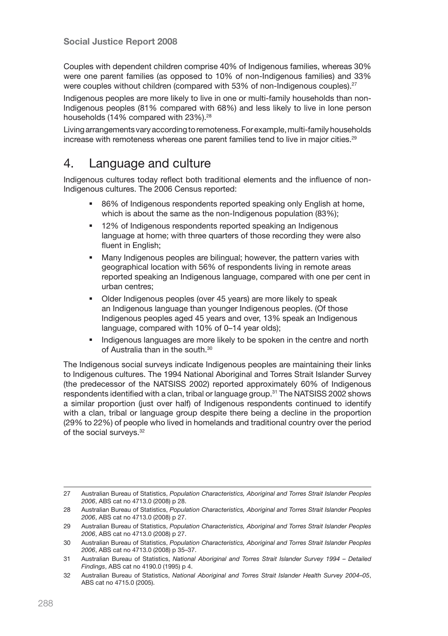Couples with dependent children comprise 40% of Indigenous families, whereas 30% were one parent families (as opposed to 10% of non-Indigenous families) and 33% were couples without children (compared with 53% of non-Indigenous couples).<sup>27</sup>

Indigenous peoples are more likely to live in one or multi-family households than non-Indigenous peoples (81% compared with 68%) and less likely to live in lone person households (14% compared with 23%).<sup>28</sup>

Living arrangements vary according to remoteness. For example, multi-family households increase with remoteness whereas one parent families tend to live in major cities.<sup>29</sup>

# 4. Language and culture

Indigenous cultures today reflect both traditional elements and the influence of non-Indigenous cultures. The 2006 Census reported:

- 86% of Indigenous respondents reported speaking only English at home, which is about the same as the non-Indigenous population (83%);
- 12% of Indigenous respondents reported speaking an Indigenous language at home; with three quarters of those recording they were also fluent in English;
- Many Indigenous peoples are bilingual; however, the pattern varies with geographical location with 56% of respondents living in remote areas reported speaking an Indigenous language, compared with one per cent in urban centres;
- Older Indigenous peoples (over 45 years) are more likely to speak an Indigenous language than younger Indigenous peoples. (Of those Indigenous peoples aged 45 years and over, 13% speak an Indigenous language, compared with 10% of 0–14 year olds);
- Indigenous languages are more likely to be spoken in the centre and north of Australia than in the south.30

The Indigenous social surveys indicate Indigenous peoples are maintaining their links to Indigenous cultures. The 1994 National Aboriginal and Torres Strait Islander Survey (the predecessor of the NATSISS 2002) reported approximately 60% of Indigenous respondents identified with a clan, tribal or language group.31 The NATSISS 2002 shows a similar proportion (just over half) of Indigenous respondents continued to identify with a clan, tribal or language group despite there being a decline in the proportion (29% to 22%) of people who lived in homelands and traditional country over the period of the social surveys.<sup>32</sup>

<sup>27</sup> Australian Bureau of Statistics, *Population Characteristics, Aboriginal and Torres Strait Islander Peoples 2006*, ABS cat no 4713.0 (2008) p 28.

<sup>28</sup> Australian Bureau of Statistics, *Population Characteristics, Aboriginal and Torres Strait Islander Peoples 2006*, ABS cat no 4713.0 (2008) p 27.

<sup>29</sup> Australian Bureau of Statistics, *Population Characteristics, Aboriginal and Torres Strait Islander Peoples 2006*, ABS cat no 4713.0 (2008) p 27.

<sup>30</sup> Australian Bureau of Statistics, *Population Characteristics, Aboriginal and Torres Strait Islander Peoples 2006*, ABS cat no 4713.0 (2008) p 35–37.

<sup>31</sup> Australian Bureau of Statistics, *National Aboriginal and Torres Strait Islander Survey 1994 – Detailed Findings*, ABS cat no 4190.0 (1995) p 4.

<sup>32</sup> Australian Bureau of Statistics, *National Aboriginal and Torres Strait Islander Health Survey 2004–05*, ABS cat no 4715.0 (2005).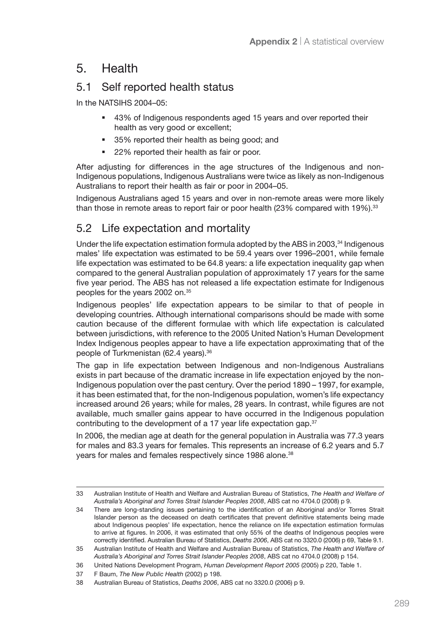# 5. Health

#### 5.1 Self reported health status

In the NATSIHS 2004–05:

- 43% of Indigenous respondents aged 15 years and over reported their health as very good or excellent;
- 35% reported their health as being good; and
- **22% reported their health as fair or poor.**

After adjusting for differences in the age structures of the Indigenous and non-Indigenous populations, Indigenous Australians were twice as likely as non-Indigenous Australians to report their health as fair or poor in 2004–05.

Indigenous Australians aged 15 years and over in non-remote areas were more likely than those in remote areas to report fair or poor health (23% compared with 19%).<sup>33</sup>

# 5.2 Life expectation and mortality

Under the life expectation estimation formula adopted by the ABS in 2003, $34$  Indigenous males' life expectation was estimated to be 59.4 years over 1996–2001, while female life expectation was estimated to be 64.8 years: a life expectation inequality gap when compared to the general Australian population of approximately 17 years for the same five year period. The ABS has not released a life expectation estimate for Indigenous peoples for the years 2002 on.35

Indigenous peoples' life expectation appears to be similar to that of people in developing countries. Although international comparisons should be made with some caution because of the different formulae with which life expectation is calculated between jurisdictions, with reference to the 2005 United Nation's Human Development Index Indigenous peoples appear to have a life expectation approximating that of the people of Turkmenistan (62.4 years).<sup>36</sup>

The gap in life expectation between Indigenous and non-Indigenous Australians exists in part because of the dramatic increase in life expectation enjoyed by the non-Indigenous population over the past century. Over the period 1890 – 1997, for example, it has been estimated that, for the non-Indigenous population, women's life expectancy increased around 26 years; while for males, 28 years. In contrast, while figures are not available, much smaller gains appear to have occurred in the Indigenous population contributing to the development of a 17 year life expectation gap.<sup>37</sup>

In 2006, the median age at death for the general population in Australia was 77.3 years for males and 83.3 years for females. This represents an increase of 6.2 years and 5.7 years for males and females respectively since 1986 alone.<sup>38</sup>

<sup>33</sup> Australian Institute of Health and Welfare and Australian Bureau of Statistics, *The Health and Welfare of Australia's Aboriginal and Torres Strait Islander Peoples 2008*, ABS cat no 4704.0 (2008) p 9.

<sup>34</sup> There are long-standing issues pertaining to the identification of an Aboriginal and/or Torres Strait Islander person as the deceased on death certificates that prevent definitive statements being made about Indigenous peoples' life expectation, hence the reliance on life expectation estimation formulas to arrive at figures. In 2006, it was estimated that only 55% of the deaths of Indigenous peoples were correctly identified. Australian Bureau of Statistics, *Deaths 2006*, ABS cat no 3320.0 (2006) p 69, Table 9.1.

<sup>35</sup> Australian Institute of Health and Welfare and Australian Bureau of Statistics, *The Health and Welfare of Australia's Aboriginal and Torres Strait Islander Peoples 2008*, ABS cat no 4704.0 (2008) p 154.

<sup>36</sup> United Nations Development Program, *Human Development Report 2005* (2005) p 220, Table 1.

<sup>37</sup> F Baum, *The New Public Health* (2002) p 198.

<sup>38</sup> Australian Bureau of Statistics, *Deaths 2006*, ABS cat no 3320.0 (2006) p 9.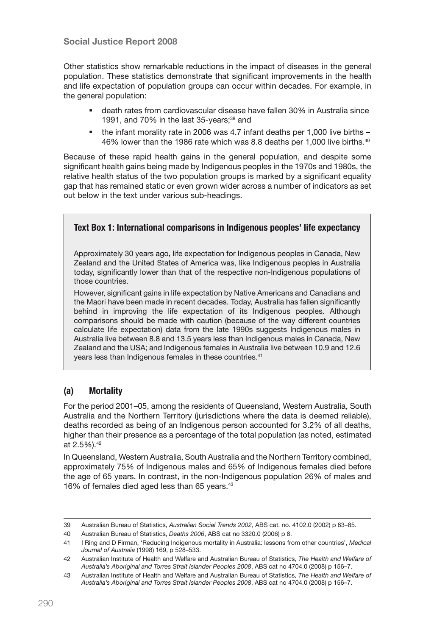#### Social Justice Report 2008

Other statistics show remarkable reductions in the impact of diseases in the general population. These statistics demonstrate that significant improvements in the health and life expectation of population groups can occur within decades. For example, in the general population:

- death rates from cardiovascular disease have fallen 30% in Australia since 1991, and 70% in the last 35-years; $39$  and
- the infant morality rate in 2006 was 4.7 infant deaths per 1,000 live births 46% lower than the 1986 rate which was 8.8 deaths per 1,000 live births.40

Because of these rapid health gains in the general population, and despite some significant health gains being made by Indigenous peoples in the 1970s and 1980s, the relative health status of the two population groups is marked by a significant equality gap that has remained static or even grown wider across a number of indicators as set out below in the text under various sub-headings.

#### Text Box 1: International comparisons in Indigenous peoples' life expectancy

Approximately 30 years ago, life expectation for Indigenous peoples in Canada, New Zealand and the United States of America was, like Indigenous peoples in Australia today, significantly lower than that of the respective non-Indigenous populations of those countries.

However, significant gains in life expectation by Native Americans and Canadians and the Maori have been made in recent decades. Today, Australia has fallen significantly behind in improving the life expectation of its Indigenous peoples. Although comparisons should be made with caution (because of the way different countries calculate life expectation) data from the late 1990s suggests Indigenous males in Australia live between 8.8 and 13.5 years less than Indigenous males in Canada, New Zealand and the USA; and Indigenous females in Australia live between 10.9 and 12.6 years less than Indigenous females in these countries.<sup>41</sup>

#### (a) Mortality

For the period 2001–05, among the residents of Queensland, Western Australia, South Australia and the Northern Territory (jurisdictions where the data is deemed reliable), deaths recorded as being of an Indigenous person accounted for 3.2% of all deaths, higher than their presence as a percentage of the total population (as noted, estimated at 2.5%).42

In Queensland, Western Australia, South Australia and the Northern Territory combined, approximately 75% of Indigenous males and 65% of Indigenous females died before the age of 65 years. In contrast, in the non-Indigenous population 26% of males and 16% of females died aged less than 65 years.<sup>43</sup>

<sup>39</sup> Australian Bureau of Statistics, *Australian Social Trends 2002*, ABS cat. no. 4102.0 (2002) p 83–85.

<sup>40</sup> Australian Bureau of Statistics, *Deaths 2006*, ABS cat no 3320.0 (2006) p 8.

<sup>41</sup> I Ring and D Firman, 'Reducing Indigenous mortality in Australia: lessons from other countries', *Medical Journal of Australia* (1998) 169, p 528–533.

<sup>42</sup> Australian Institute of Health and Welfare and Australian Bureau of Statistics, *The Health and Welfare of Australia's Aboriginal and Torres Strait Islander Peoples 2008*, ABS cat no 4704.0 (2008) p 156–7.

<sup>43</sup> Australian Institute of Health and Welfare and Australian Bureau of Statistics, *The Health and Welfare of Australia's Aboriginal and Torres Strait Islander Peoples 2008*, ABS cat no 4704.0 (2008) p 156–7.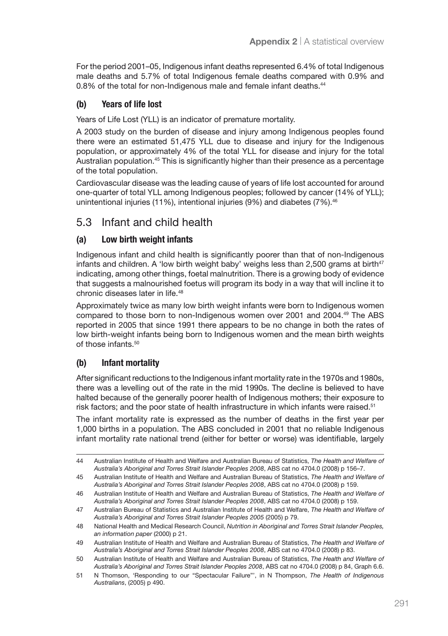For the period 2001–05, Indigenous infant deaths represented 6.4% of total Indigenous male deaths and 5.7% of total Indigenous female deaths compared with 0.9% and 0.8% of the total for non-Indigenous male and female infant deaths.<sup>44</sup>

#### (b) Years of life lost

Years of Life Lost (YLL) is an indicator of premature mortality.

A 2003 study on the burden of disease and injury among Indigenous peoples found there were an estimated 51,475 YLL due to disease and injury for the Indigenous population, or approximately 4% of the total YLL for disease and injury for the total Australian population.45 This is significantly higher than their presence as a percentage of the total population.

Cardiovascular disease was the leading cause of years of life lost accounted for around one-quarter of total YLL among Indigenous peoples; followed by cancer (14% of YLL); unintentional injuries (11%), intentional injuries (9%) and diabetes (7%).<sup>46</sup>

### 5.3 Infant and child health

#### (a) Low birth weight infants

Indigenous infant and child health is significantly poorer than that of non-Indigenous infants and children. A 'low birth weight baby' weighs less than 2,500 grams at birth $47$ indicating, among other things, foetal malnutrition. There is a growing body of evidence that suggests a malnourished foetus will program its body in a way that will incline it to chronic diseases later in life.<sup>48</sup>

Approximately twice as many low birth weight infants were born to Indigenous women compared to those born to non-Indigenous women over 2001 and 2004.49 The ABS reported in 2005 that since 1991 there appears to be no change in both the rates of low birth-weight infants being born to Indigenous women and the mean birth weights of those infants.<sup>50</sup>

#### (b) Infant mortality

After significant reductions to the Indigenous infant mortality rate in the 1970s and 1980s, there was a levelling out of the rate in the mid 1990s. The decline is believed to have halted because of the generally poorer health of Indigenous mothers; their exposure to risk factors; and the poor state of health infrastructure in which infants were raised.<sup>51</sup>

The infant mortality rate is expressed as the number of deaths in the first year per 1,000 births in a population. The ABS concluded in 2001 that no reliable Indigenous infant mortality rate national trend (either for better or worse) was identifiable, largely

<sup>44</sup> Australian Institute of Health and Welfare and Australian Bureau of Statistics, *The Health and Welfare of Australia's Aboriginal and Torres Strait Islander Peoples 2008*, ABS cat no 4704.0 (2008) p 156–7.

<sup>45</sup> Australian Institute of Health and Welfare and Australian Bureau of Statistics, *The Health and Welfare of Australia's Aboriginal and Torres Strait Islander Peoples 2008*, ABS cat no 4704.0 (2008) p 159.

<sup>46</sup> Australian Institute of Health and Welfare and Australian Bureau of Statistics, *The Health and Welfare of Australia's Aboriginal and Torres Strait Islander Peoples 2008*, ABS cat no 4704.0 (2008) p 159.

<sup>47</sup> Australian Bureau of Statistics and Australian Institute of Health and Welfare, *The Health and Welfare of Australia's Aboriginal and Torres Strait Islander Peoples 2005* (2005) p 79.

<sup>48</sup> National Health and Medical Research Council, *Nutrition in Aboriginal and Torres Strait Islander Peoples, an information paper* (2000) p 21.

<sup>49</sup> Australian Institute of Health and Welfare and Australian Bureau of Statistics, *The Health and Welfare of Australia's Aboriginal and Torres Strait Islander Peoples 2008*, ABS cat no 4704.0 (2008) p 83.

<sup>50</sup> Australian Institute of Health and Welfare and Australian Bureau of Statistics, *The Health and Welfare of Australia's Aboriginal and Torres Strait Islander Peoples 2008*, ABS cat no 4704.0 (2008) p 84, Graph 6.6.

<sup>51</sup> N Thomson, 'Responding to our "Spectacular Failure"', in N Thompson, *The Health of Indigenous Australians*, (2005) p 490.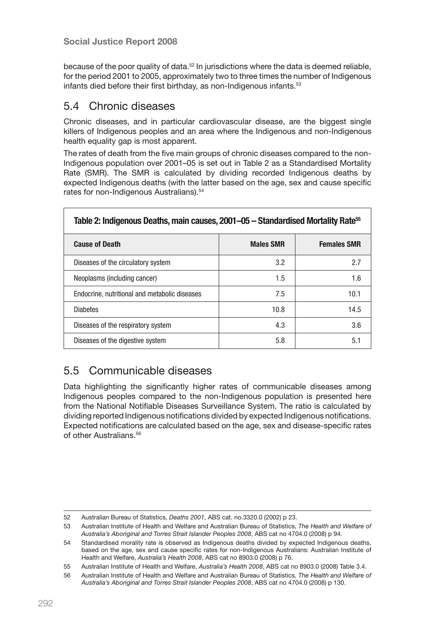because of the poor quality of data.<sup>52</sup> In jurisdictions where the data is deemed reliable, for the period 2001 to 2005, approximately two to three times the number of Indigenous infants died before their first birthday, as non-Indigenous infants.<sup>53</sup>

#### 5.4 Chronic diseases

Chronic diseases, and in particular cardiovascular disease, are the biggest single killers of Indigenous peoples and an area where the Indigenous and non-Indigenous health equality gap is most apparent.

The rates of death from the five main groups of chronic diseases compared to the non-Indigenous population over 2001–05 is set out in Table 2 as a Standardised Mortality Rate (SMR). The SMR is calculated by dividing recorded Indigenous deaths by expected Indigenous deaths (with the latter based on the age, sex and cause specific rates for non-Indigenous Australians).<sup>54</sup>

| Table 2: Indigenous Deaths, main causes, 2001–05 - Standardised Mortality Rate <sup>55</sup> |                  |                    |  |
|----------------------------------------------------------------------------------------------|------------------|--------------------|--|
| <b>Cause of Death</b>                                                                        | <b>Males SMR</b> | <b>Females SMR</b> |  |
| Diseases of the circulatory system                                                           | 3.2              | 2.7                |  |
| Neoplasms (including cancer)                                                                 | 1.5              | 1.6                |  |
| Endocrine, nutritional and metabolic diseases                                                | 7.5              | 10.1               |  |
| <b>Diabetes</b>                                                                              | 10.8             | 14.5               |  |
| Diseases of the respiratory system                                                           | 4.3              | 3.6                |  |
| Diseases of the digestive system                                                             | 5.8              | 5.1                |  |

# 5.5 Communicable diseases

Data highlighting the significantly higher rates of communicable diseases among Indigenous peoples compared to the non-Indigenous population is presented here from the National Notifiable Diseases Surveillance System. The ratio is calculated by dividing reported Indigenous notifications divided by expected Indigenous notifications. Expected notifications are calculated based on the age, sex and disease-specific rates of other Australians.<sup>56</sup>

<sup>52</sup> Australian Bureau of Statistics, *Deaths 2001*, ABS cat. no.3320.0 (2002) p 23.

<sup>53</sup> Australian Institute of Health and Welfare and Australian Bureau of Statistics, *The Health and Welfare of Australia's Aboriginal and Torres Strait Islander Peoples 2008*, ABS cat no 4704.0 (2008) p 94.

<sup>54</sup> Standardised morality rate is observed as Indigenous deaths divided by expected Indigenous deaths, based on the age, sex and cause specific rates for non-Indigenous Australians: Australian Institute of Health and Welfare, *Australia's Health 2008*, ABS cat no 8903.0 (2008) p 76.

<sup>55</sup> Australian Institute of Health and Welfare, *Australia's Health 2008*, ABS cat no 8903.0 (2008) Table 3.4.

<sup>56</sup> Australian Institute of Health and Welfare and Australian Bureau of Statistics, *The Health and Welfare of Australia's Aboriginal and Torres Strait Islander Peoples 2008*, ABS cat no 4704.0 (2008) p 130.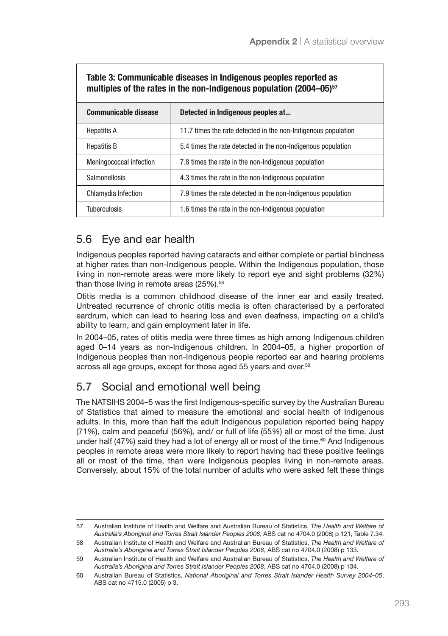| Table 3: Communicable diseases in Indigenous peoples reported as<br>multiples of the rates in the non-Indigenous population (2004–05) <sup>57</sup> |                                                               |  |  |
|-----------------------------------------------------------------------------------------------------------------------------------------------------|---------------------------------------------------------------|--|--|
| <b>Communicable disease</b>                                                                                                                         | Detected in Indigenous peoples at                             |  |  |
| <b>Hepatitis A</b>                                                                                                                                  | 11.7 times the rate detected in the non-Indigenous population |  |  |
| <b>Hepatitis B</b>                                                                                                                                  | 5.4 times the rate detected in the non-Indigenous population  |  |  |
| Meningococcal infection                                                                                                                             | 7.8 times the rate in the non-Indigenous population           |  |  |
| Salmonellosis                                                                                                                                       | 4.3 times the rate in the non-Indigenous population           |  |  |
| Chlamydia Infection                                                                                                                                 | 7.9 times the rate detected in the non-Indigenous population  |  |  |
| Tuberculosis                                                                                                                                        | 1.6 times the rate in the non-Indigenous population           |  |  |

# Table 3: Communicable diseases in Indigenous peoples reported as

# 5.6 Eye and ear health

Indigenous peoples reported having cataracts and either complete or partial blindness at higher rates than non-Indigenous people. Within the Indigenous population, those living in non-remote areas were more likely to report eye and sight problems (32%) than those living in remote areas  $(25\%)$ .<sup>58</sup>

Otitis media is a common childhood disease of the inner ear and easily treated. Untreated recurrence of chronic otitis media is often characterised by a perforated eardrum, which can lead to hearing loss and even deafness, impacting on a child's ability to learn, and gain employment later in life.

In 2004–05, rates of otitis media were three times as high among Indigenous children aged 0–14 years as non-Indigenous children. In 2004–05, a higher proportion of Indigenous peoples than non-Indigenous people reported ear and hearing problems across all age groups, except for those aged 55 years and over.59

# 5.7 Social and emotional well being

The NATSIHS 2004–5 was the first Indigenous-specific survey by the Australian Bureau of Statistics that aimed to measure the emotional and social health of Indigenous adults. In this, more than half the adult Indigenous population reported being happy (71%), calm and peaceful (56%), and/ or full of life (55%) all or most of the time. Just under half (47%) said they had a lot of energy all or most of the time.<sup>60</sup> And Indigenous peoples in remote areas were more likely to report having had these positive feelings all or most of the time, than were Indigenous peoples living in non-remote areas. Conversely, about 15% of the total number of adults who were asked felt these things

<sup>57</sup> Australian Institute of Health and Welfare and Australian Bureau of Statistics, *The Health and Welfare of Australia's Aboriginal and Torres Strait Islander Peoples 2008*, ABS cat no 4704.0 (2008) p 121, Table 7.34.

<sup>58</sup> Australian Institute of Health and Welfare and Australian Bureau of Statistics, *The Health and Welfare of Australia's Aboriginal and Torres Strait Islander Peoples 2008*, ABS cat no 4704.0 (2008) p 133.

<sup>59</sup> Australian Institute of Health and Welfare and Australian Bureau of Statistics, *The Health and Welfare of Australia's Aboriginal and Torres Strait Islander Peoples 2008*, ABS cat no 4704.0 (2008) p 134.

<sup>60</sup> Australian Bureau of Statistics, *National Aboriginal and Torres Strait Islander Health Survey 2004–05*, ABS cat no 4715.0 (2005) p 3.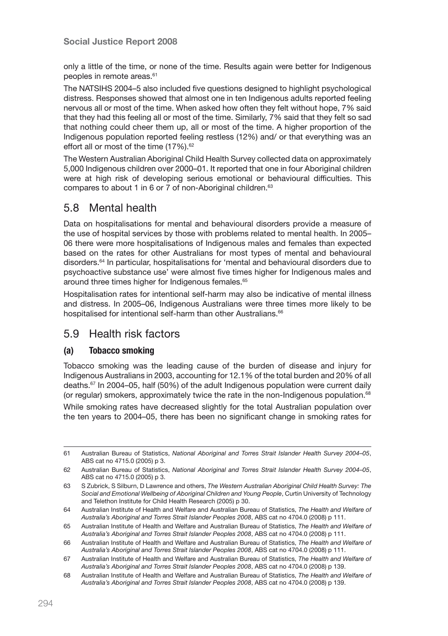only a little of the time, or none of the time. Results again were better for Indigenous peoples in remote areas.<sup>61</sup>

The NATSIHS 2004–5 also included five questions designed to highlight psychological distress. Responses showed that almost one in ten Indigenous adults reported feeling nervous all or most of the time. When asked how often they felt without hope, 7% said that they had this feeling all or most of the time. Similarly, 7% said that they felt so sad that nothing could cheer them up, all or most of the time. A higher proportion of the Indigenous population reported feeling restless (12%) and/ or that everything was an effort all or most of the time (17%).<sup>62</sup>

The Western Australian Aboriginal Child Health Survey collected data on approximately 5,000 Indigenous children over 2000–01. It reported that one in four Aboriginal children were at high risk of developing serious emotional or behavioural difficulties. This compares to about 1 in 6 or 7 of non-Aboriginal children.<sup>63</sup>

# 5.8 Mental health

Data on hospitalisations for mental and behavioural disorders provide a measure of the use of hospital services by those with problems related to mental health. In 2005– 06 there were more hospitalisations of Indigenous males and females than expected based on the rates for other Australians for most types of mental and behavioural disorders.64 In particular, hospitalisations for 'mental and behavioural disorders due to psychoactive substance use' were almost five times higher for Indigenous males and around three times higher for Indigenous females.<sup>65</sup>

Hospitalisation rates for intentional self-harm may also be indicative of mental illness and distress. In 2005–06, Indigenous Australians were three times more likely to be hospitalised for intentional self-harm than other Australians.<sup>66</sup>

#### 5.9 Health risk factors

#### (a) Tobacco smoking

Tobacco smoking was the leading cause of the burden of disease and injury for Indigenous Australians in 2003, accounting for 12.1% of the total burden and 20% of all deaths.67 In 2004–05, half (50%) of the adult Indigenous population were current daily (or regular) smokers, approximately twice the rate in the non-Indigenous population.68

While smoking rates have decreased slightly for the total Australian population over the ten years to 2004–05, there has been no significant change in smoking rates for

<sup>61</sup> Australian Bureau of Statistics, *National Aboriginal and Torres Strait Islander Health Survey 2004–05*, ABS cat no 4715.0 (2005) p 3.

<sup>62</sup> Australian Bureau of Statistics, *National Aboriginal and Torres Strait Islander Health Survey 2004–05*, ABS cat no 4715.0 (2005) p 3.

<sup>63</sup> S Zubrick, S Silburn, D Lawrence and others, *The Western Australian Aboriginal Child Health Survey: The Social and Emotional Wellbeing of Aboriginal Children and Young People*, Curtin University of Technology and Telethon Institute for Child Health Research (2005) p 30.

<sup>64</sup> Australian Institute of Health and Welfare and Australian Bureau of Statistics, *The Health and Welfare of Australia's Aboriginal and Torres Strait Islander Peoples 2008*, ABS cat no 4704.0 (2008) p 111.

<sup>65</sup> Australian Institute of Health and Welfare and Australian Bureau of Statistics, *The Health and Welfare of Australia's Aboriginal and Torres Strait Islander Peoples 2008*, ABS cat no 4704.0 (2008) p 111.

<sup>66</sup> Australian Institute of Health and Welfare and Australian Bureau of Statistics, *The Health and Welfare of Australia's Aboriginal and Torres Strait Islander Peoples 2008*, ABS cat no 4704.0 (2008) p 111.

<sup>67</sup> Australian Institute of Health and Welfare and Australian Bureau of Statistics, *The Health and Welfare of Australia's Aboriginal and Torres Strait Islander Peoples 2008*, ABS cat no 4704.0 (2008) p 139.

<sup>68</sup> Australian Institute of Health and Welfare and Australian Bureau of Statistics, *The Health and Welfare of Australia's Aboriginal and Torres Strait Islander Peoples 2008*, ABS cat no 4704.0 (2008) p 139.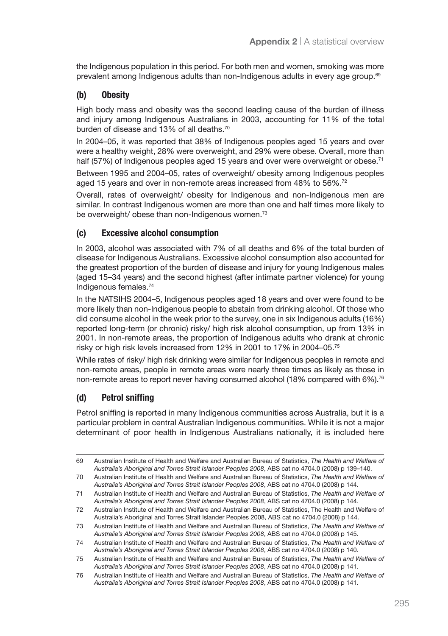the Indigenous population in this period. For both men and women, smoking was more prevalent among Indigenous adults than non-Indigenous adults in every age group.<sup>69</sup>

#### (b) Obesity

High body mass and obesity was the second leading cause of the burden of illness and injury among Indigenous Australians in 2003, accounting for 11% of the total burden of disease and 13% of all deaths.<sup>70</sup>

In 2004–05, it was reported that 38% of Indigenous peoples aged 15 years and over were a healthy weight, 28% were overweight, and 29% were obese. Overall, more than half (57%) of Indigenous peoples aged 15 years and over were overweight or obese.<sup>71</sup>

Between 1995 and 2004–05, rates of overweight/ obesity among Indigenous peoples aged 15 years and over in non-remote areas increased from 48% to 56%.72

Overall, rates of overweight/ obesity for Indigenous and non-Indigenous men are similar. In contrast Indigenous women are more than one and half times more likely to be overweight/ obese than non-Indigenous women.<sup>73</sup>

#### (c) Excessive alcohol consumption

In 2003, alcohol was associated with 7% of all deaths and 6% of the total burden of disease for Indigenous Australians. Excessive alcohol consumption also accounted for the greatest proportion of the burden of disease and injury for young Indigenous males (aged 15–34 years) and the second highest (after intimate partner violence) for young Indigenous females.74

In the NATSIHS 2004–5, Indigenous peoples aged 18 years and over were found to be more likely than non-Indigenous people to abstain from drinking alcohol. Of those who did consume alcohol in the week prior to the survey, one in six Indigenous adults (16%) reported long-term (or chronic) risky/ high risk alcohol consumption, up from 13% in 2001. In non-remote areas, the proportion of Indigenous adults who drank at chronic risky or high risk levels increased from 12% in 2001 to 17% in 2004–05.75

While rates of risky/ high risk drinking were similar for Indigenous peoples in remote and non-remote areas, people in remote areas were nearly three times as likely as those in non-remote areas to report never having consumed alcohol (18% compared with 6%).<sup>76</sup>

#### (d) Petrol sniffing

Petrol sniffing is reported in many Indigenous communities across Australia, but it is a particular problem in central Australian Indigenous communities. While it is not a major determinant of poor health in Indigenous Australians nationally, it is included here

<sup>69</sup> Australian Institute of Health and Welfare and Australian Bureau of Statistics, *The Health and Welfare of Australia's Aboriginal and Torres Strait Islander Peoples 2008*, ABS cat no 4704.0 (2008) p 139–140.

<sup>70</sup> Australian Institute of Health and Welfare and Australian Bureau of Statistics, *The Health and Welfare of Australia's Aboriginal and Torres Strait Islander Peoples 2008*, ABS cat no 4704.0 (2008) p 144.

<sup>71</sup> Australian Institute of Health and Welfare and Australian Bureau of Statistics, *The Health and Welfare of Australia's Aboriginal and Torres Strait Islander Peoples 2008*, ABS cat no 4704.0 (2008) p 144.

<sup>72</sup> Australian Institute of Health and Welfare and Australian Bureau of Statistics, The Health and Welfare of Australia's Aboriginal and Torres Strait Islander Peoples 2008, ABS cat no 4704.0 (2008) p 144.

<sup>73</sup> Australian Institute of Health and Welfare and Australian Bureau of Statistics, *The Health and Welfare of Australia's Aboriginal and Torres Strait Islander Peoples 2008*, ABS cat no 4704.0 (2008) p 145.

<sup>74</sup> Australian Institute of Health and Welfare and Australian Bureau of Statistics, *The Health and Welfare of Australia's Aboriginal and Torres Strait Islander Peoples 2008*, ABS cat no 4704.0 (2008) p 140.

<sup>75</sup> Australian Institute of Health and Welfare and Australian Bureau of Statistics, *The Health and Welfare of Australia's Aboriginal and Torres Strait Islander Peoples 2008*, ABS cat no 4704.0 (2008) p 141.

<sup>76</sup> Australian Institute of Health and Welfare and Australian Bureau of Statistics, *The Health and Welfare of Australia's Aboriginal and Torres Strait Islander Peoples 2008*, ABS cat no 4704.0 (2008) p 141.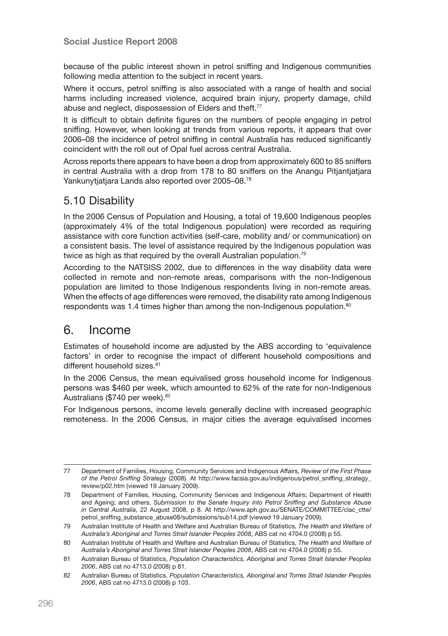because of the public interest shown in petrol sniffing and Indigenous communities following media attention to the subject in recent years.

Where it occurs, petrol sniffing is also associated with a range of health and social harms including increased violence, acquired brain injury, property damage, child abuse and neglect, dispossession of Elders and theft.<sup>77</sup>

It is difficult to obtain definite figures on the numbers of people engaging in petrol sniffing. However, when looking at trends from various reports, it appears that over 2006–08 the incidence of petrol sniffing in central Australia has reduced significantly coincident with the roll out of Opal fuel across central Australia.

Across reports there appears to have been a drop from approximately 600 to 85 sniffers in central Australia with a drop from 178 to 80 sniffers on the Anangu Pitjantjatjara Yankunytjatjara Lands also reported over 2005–08.78

### 5.10 Disability

In the 2006 Census of Population and Housing, a total of 19,600 Indigenous peoples (approximately 4% of the total Indigenous population) were recorded as requiring assistance with core function activities (self-care, mobility and/ or communication) on a consistent basis. The level of assistance required by the Indigenous population was twice as high as that required by the overall Australian population.79

According to the NATSISS 2002, due to differences in the way disability data were collected in remote and non-remote areas, comparisons with the non-Indigenous population are limited to those Indigenous respondents living in non-remote areas. When the effects of age differences were removed, the disability rate among Indigenous respondents was 1.4 times higher than among the non-Indigenous population.<sup>80</sup>

# 6. Income

Estimates of household income are adjusted by the ABS according to 'equivalence factors' in order to recognise the impact of different household compositions and different household sizes.<sup>81</sup>

In the 2006 Census, the mean equivalised gross household income for Indigenous persons was \$460 per week, which amounted to 62% of the rate for non-Indigenous Australians (\$740 per week).<sup>82</sup>

For Indigenous persons, income levels generally decline with increased geographic remoteness. In the 2006 Census, in major cities the average equivalised incomes

<sup>77</sup> Department of Families, Housing, Community Services and Indigenous Affairs, *Review of the First Phase of the Petrol Sniffing Strategy* (2008). At http://www.facsia.gov.au/indigenous/petrol\_sniffing\_strategy\_ review/p02.htm (viewed 19 January 2009).

<sup>78</sup> Department of Families, Housing, Community Services and Indigenous Affairs; Department of Health and Ageing; and others, *Submission to the Senate Inquiry into Petrol Sniffing and Substance Abuse in Central Australia*, 22 August 2008, p 8. At http://www.aph.gov.au/SENATE/COMMITTEE/clac\_ctte/ petrol\_sniffing\_substance\_abuse08/submissions/sub14.pdf (viewed 19 January 2009).

<sup>79</sup> Australian Institute of Health and Welfare and Australian Bureau of Statistics, *The Health and Welfare of Australia's Aboriginal and Torres Strait Islander Peoples 2008*, ABS cat no 4704.0 (2008) p 55.

<sup>80</sup> Australian Institute of Health and Welfare and Australian Bureau of Statistics, *The Health and Welfare of Australia's Aboriginal and Torres Strait Islander Peoples 2008*, ABS cat no 4704.0 (2008) p 55.

<sup>81</sup> Australian Bureau of Statistics, *Population Characteristics, Aboriginal and Torres Strait Islander Peoples 2006*, ABS cat no 4713.0 (2008) p 81.

<sup>82</sup> Australian Bureau of Statistics, *Population Characteristics, Aboriginal and Torres Strait Islander Peoples 2006*, ABS cat no 4713.0 (2008) p 103.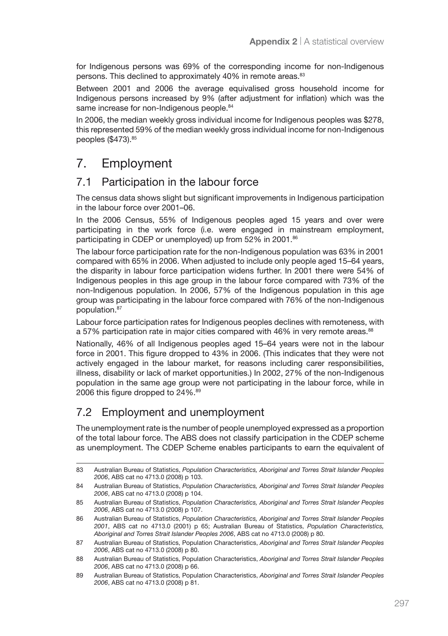for Indigenous persons was 69% of the corresponding income for non-Indigenous persons. This declined to approximately 40% in remote areas.<sup>83</sup>

Between 2001 and 2006 the average equivalised gross household income for Indigenous persons increased by 9% (after adjustment for inflation) which was the same increase for non-Indigenous people.<sup>84</sup>

In 2006, the median weekly gross individual income for Indigenous peoples was \$278, this represented 59% of the median weekly gross individual income for non-Indigenous peoples (\$473).<sup>85</sup>

# 7. Employment

#### 7.1 Participation in the labour force

The census data shows slight but significant improvements in Indigenous participation in the labour force over 2001–06.

In the 2006 Census, 55% of Indigenous peoples aged 15 years and over were participating in the work force (i.e. were engaged in mainstream employment, participating in CDEP or unemployed) up from 52% in 2001.<sup>86</sup>

The labour force participation rate for the non-Indigenous population was 63% in 2001 compared with 65% in 2006. When adjusted to include only people aged 15–64 years, the disparity in labour force participation widens further. In 2001 there were 54% of Indigenous peoples in this age group in the labour force compared with 73% of the non-Indigenous population. In 2006, 57% of the Indigenous population in this age group was participating in the labour force compared with 76% of the non-Indigenous population.87

Labour force participation rates for Indigenous peoples declines with remoteness, with a 57% participation rate in major cities compared with 46% in very remote areas.<sup>88</sup>

Nationally, 46% of all Indigenous peoples aged 15–64 years were not in the labour force in 2001. This figure dropped to 43% in 2006. (This indicates that they were not actively engaged in the labour market, for reasons including carer responsibilities, illness, disability or lack of market opportunities.) In 2002, 27% of the non-Indigenous population in the same age group were not participating in the labour force, while in 2006 this figure dropped to 24%.<sup>89</sup>

### 7.2 Employment and unemployment

The unemployment rate is the number of people unemployed expressed as a proportion of the total labour force. The ABS does not classify participation in the CDEP scheme as unemployment. The CDEP Scheme enables participants to earn the equivalent of

<sup>83</sup> Australian Bureau of Statistics, *Population Characteristics, Aboriginal and Torres Strait Islander Peoples 2006*, ABS cat no 4713.0 (2008) p 103.

<sup>84</sup> Australian Bureau of Statistics, *Population Characteristics, Aboriginal and Torres Strait Islander Peoples 2006*, ABS cat no 4713.0 (2008) p 104.

<sup>85</sup> Australian Bureau of Statistics, *Population Characteristics, Aboriginal and Torres Strait Islander Peoples 2006*, ABS cat no 4713.0 (2008) p 107.

<sup>86</sup> Australian Bureau of Statistics, *Population Characteristics, Aboriginal and Torres Strait Islander Peoples 2001*, ABS cat no 4713.0 (2001) p 65; Australian Bureau of Statistics, *Population Characteristics, Aboriginal and Torres Strait Islander Peoples 2006*, ABS cat no 4713.0 (2008) p 80.

<sup>87</sup> Australian Bureau of Statistics, Population Characteristics, *Aboriginal and Torres Strait Islander Peoples 2006*, ABS cat no 4713.0 (2008) p 80.

<sup>88</sup> Australian Bureau of Statistics, Population Characteristics, *Aboriginal and Torres Strait Islander Peoples 2006*, ABS cat no 4713.0 (2008) p 66.

<sup>89</sup> Australian Bureau of Statistics, Population Characteristics, *Aboriginal and Torres Strait Islander Peoples 2006*, ABS cat no 4713.0 (2008) p 81.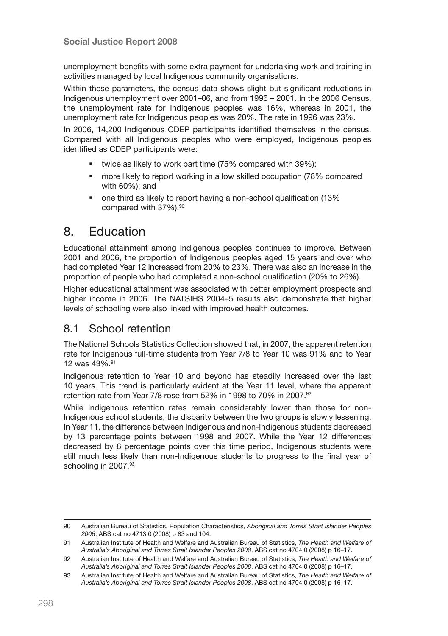unemployment benefits with some extra payment for undertaking work and training in activities managed by local Indigenous community organisations.

Within these parameters, the census data shows slight but significant reductions in Indigenous unemployment over 2001–06, and from 1996 – 2001. In the 2006 Census, the unemployment rate for Indigenous peoples was 16%, whereas in 2001, the unemployment rate for Indigenous peoples was 20%. The rate in 1996 was 23%.

In 2006, 14,200 Indigenous CDEP participants identified themselves in the census. Compared with all Indigenous peoples who were employed, Indigenous peoples identified as CDEP participants were:

- **times as likely to work part time (75% compared with 39%);**
- more likely to report working in a low skilled occupation (78% compared with 60%); and
- one third as likely to report having a non-school qualification (13% compared with 37%).<sup>90</sup>

# 8. Education

Educational attainment among Indigenous peoples continues to improve. Between 2001 and 2006, the proportion of Indigenous peoples aged 15 years and over who had completed Year 12 increased from 20% to 23%. There was also an increase in the proportion of people who had completed a non-school qualification (20% to 26%).

Higher educational attainment was associated with better employment prospects and higher income in 2006. The NATSIHS 2004–5 results also demonstrate that higher levels of schooling were also linked with improved health outcomes.

### 8.1 School retention

The National Schools Statistics Collection showed that, in 2007, the apparent retention rate for Indigenous full-time students from Year 7/8 to Year 10 was 91% and to Year 12 was 43%.91

Indigenous retention to Year 10 and beyond has steadily increased over the last 10 years. This trend is particularly evident at the Year 11 level, where the apparent retention rate from Year 7/8 rose from 52% in 1998 to 70% in 2007.<sup>92</sup>

While Indigenous retention rates remain considerably lower than those for non-Indigenous school students, the disparity between the two groups is slowly lessening. In Year 11, the difference between Indigenous and non-Indigenous students decreased by 13 percentage points between 1998 and 2007. While the Year 12 differences decreased by 8 percentage points over this time period, Indigenous students were still much less likely than non-Indigenous students to progress to the final year of schooling in 2007.<sup>93</sup>

<sup>90</sup> Australian Bureau of Statistics, Population Characteristics, *Aboriginal and Torres Strait Islander Peoples 2006*, ABS cat no 4713.0 (2008) p 83 and 104.

<sup>91</sup> Australian Institute of Health and Welfare and Australian Bureau of Statistics, *The Health and Welfare of Australia's Aboriginal and Torres Strait Islander Peoples 2008*, ABS cat no 4704.0 (2008) p 16–17.

<sup>92</sup> Australian Institute of Health and Welfare and Australian Bureau of Statistics, *The Health and Welfare of Australia's Aboriginal and Torres Strait Islander Peoples 2008*, ABS cat no 4704.0 (2008) p 16–17.

<sup>93</sup> Australian Institute of Health and Welfare and Australian Bureau of Statistics, *The Health and Welfare of Australia's Aboriginal and Torres Strait Islander Peoples 2008*, ABS cat no 4704.0 (2008) p 16–17.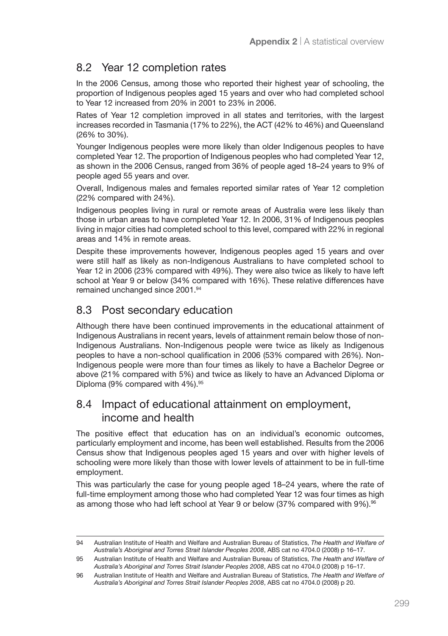# 8.2 Year 12 completion rates

In the 2006 Census, among those who reported their highest year of schooling, the proportion of Indigenous peoples aged 15 years and over who had completed school to Year 12 increased from 20% in 2001 to 23% in 2006.

Rates of Year 12 completion improved in all states and territories, with the largest increases recorded in Tasmania (17% to 22%), the ACT (42% to 46%) and Queensland (26% to 30%).

Younger Indigenous peoples were more likely than older Indigenous peoples to have completed Year 12. The proportion of Indigenous peoples who had completed Year 12, as shown in the 2006 Census, ranged from 36% of people aged 18–24 years to 9% of people aged 55 years and over.

Overall, Indigenous males and females reported similar rates of Year 12 completion (22% compared with 24%).

Indigenous peoples living in rural or remote areas of Australia were less likely than those in urban areas to have completed Year 12. In 2006, 31% of Indigenous peoples living in major cities had completed school to this level, compared with 22% in regional areas and 14% in remote areas.

Despite these improvements however, Indigenous peoples aged 15 years and over were still half as likely as non-Indigenous Australians to have completed school to Year 12 in 2006 (23% compared with 49%). They were also twice as likely to have left school at Year 9 or below (34% compared with 16%). These relative differences have remained unchanged since 2001.94

# 8.3 Post secondary education

Although there have been continued improvements in the educational attainment of Indigenous Australians in recent years, levels of attainment remain below those of non-Indigenous Australians. Non-Indigenous people were twice as likely as Indigenous peoples to have a non-school qualification in 2006 (53% compared with 26%). Non-Indigenous people were more than four times as likely to have a Bachelor Degree or above (21% compared with 5%) and twice as likely to have an Advanced Diploma or Diploma (9% compared with 4%).<sup>95</sup>

### 8.4 Impact of educational attainment on employment, income and health

The positive effect that education has on an individual's economic outcomes, particularly employment and income, has been well established. Results from the 2006 Census show that Indigenous peoples aged 15 years and over with higher levels of schooling were more likely than those with lower levels of attainment to be in full-time employment.

This was particularly the case for young people aged 18–24 years, where the rate of full-time employment among those who had completed Year 12 was four times as high as among those who had left school at Year 9 or below (37% compared with 9%).<sup>96</sup>

<sup>94</sup> Australian Institute of Health and Welfare and Australian Bureau of Statistics, *The Health and Welfare of Australia's Aboriginal and Torres Strait Islander Peoples 2008*, ABS cat no 4704.0 (2008) p 16–17.

<sup>95</sup> Australian Institute of Health and Welfare and Australian Bureau of Statistics, *The Health and Welfare of Australia's Aboriginal and Torres Strait Islander Peoples 2008*, ABS cat no 4704.0 (2008) p 16–17.

<sup>96</sup> Australian Institute of Health and Welfare and Australian Bureau of Statistics, *The Health and Welfare of Australia's Aboriginal and Torres Strait Islander Peoples 2008*, ABS cat no 4704.0 (2008) p 20.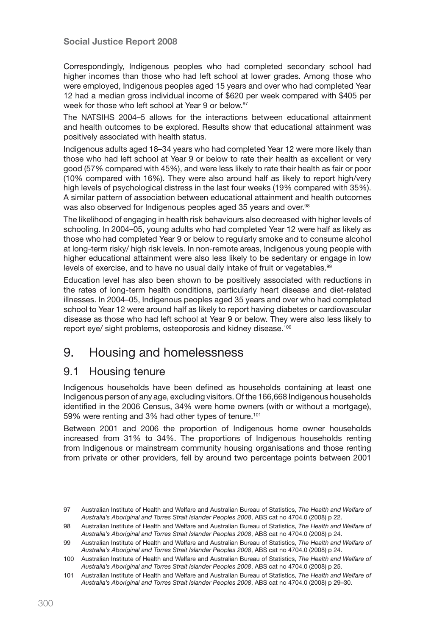#### Social Justice Report 2008

Correspondingly, Indigenous peoples who had completed secondary school had higher incomes than those who had left school at lower grades. Among those who were employed, Indigenous peoples aged 15 years and over who had completed Year 12 had a median gross individual income of \$620 per week compared with \$405 per week for those who left school at Year 9 or below.<sup>97</sup>

The NATSIHS 2004–5 allows for the interactions between educational attainment and health outcomes to be explored. Results show that educational attainment was positively associated with health status.

Indigenous adults aged 18–34 years who had completed Year 12 were more likely than those who had left school at Year 9 or below to rate their health as excellent or very good (57% compared with 45%), and were less likely to rate their health as fair or poor (10% compared with 16%). They were also around half as likely to report high/very high levels of psychological distress in the last four weeks (19% compared with 35%). A similar pattern of association between educational attainment and health outcomes was also observed for Indigenous peoples aged 35 years and over.<sup>98</sup>

The likelihood of engaging in health risk behaviours also decreased with higher levels of schooling. In 2004–05, young adults who had completed Year 12 were half as likely as those who had completed Year 9 or below to regularly smoke and to consume alcohol at long-term risky/ high risk levels. In non-remote areas, Indigenous young people with higher educational attainment were also less likely to be sedentary or engage in low levels of exercise, and to have no usual daily intake of fruit or vegetables.<sup>99</sup>

Education level has also been shown to be positively associated with reductions in the rates of long-term health conditions, particularly heart disease and diet-related illnesses. In 2004–05, Indigenous peoples aged 35 years and over who had completed school to Year 12 were around half as likely to report having diabetes or cardiovascular disease as those who had left school at Year 9 or below. They were also less likely to report eye/ sight problems, osteoporosis and kidney disease.<sup>100</sup>

# 9. Housing and homelessness

#### 9.1 Housing tenure

Indigenous households have been defined as households containing at least one Indigenous person of any age, excluding visitors. Of the 166,668 Indigenous households identified in the 2006 Census, 34% were home owners (with or without a mortgage), 59% were renting and 3% had other types of tenure.<sup>101</sup>

Between 2001 and 2006 the proportion of Indigenous home owner households increased from 31% to 34%. The proportions of Indigenous households renting from Indigenous or mainstream community housing organisations and those renting from private or other providers, fell by around two percentage points between 2001

<sup>97</sup> Australian Institute of Health and Welfare and Australian Bureau of Statistics, *The Health and Welfare of Australia's Aboriginal and Torres Strait Islander Peoples 2008*, ABS cat no 4704.0 (2008) p 22.

<sup>98</sup> Australian Institute of Health and Welfare and Australian Bureau of Statistics, *The Health and Welfare of Australia's Aboriginal and Torres Strait Islander Peoples 2008*, ABS cat no 4704.0 (2008) p 24.

<sup>99</sup> Australian Institute of Health and Welfare and Australian Bureau of Statistics, *The Health and Welfare of Australia's Aboriginal and Torres Strait Islander Peoples 2008*, ABS cat no 4704.0 (2008) p 24.

<sup>100</sup> Australian Institute of Health and Welfare and Australian Bureau of Statistics, *The Health and Welfare of Australia's Aboriginal and Torres Strait Islander Peoples 2008*, ABS cat no 4704.0 (2008) p 25.

<sup>101</sup> Australian Institute of Health and Welfare and Australian Bureau of Statistics, *The Health and Welfare of Australia's Aboriginal and Torres Strait Islander Peoples 2008*, ABS cat no 4704.0 (2008) p 29–30.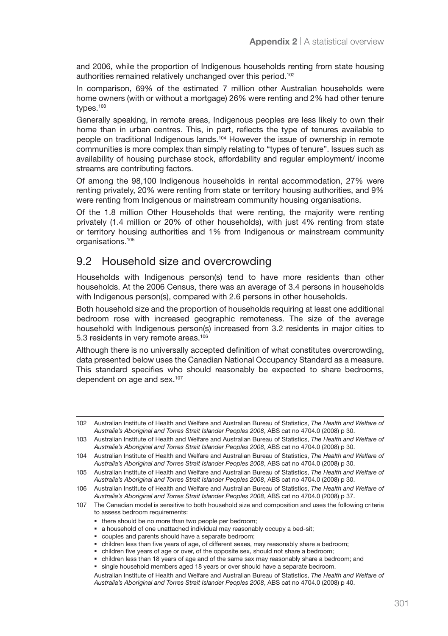and 2006, while the proportion of Indigenous households renting from state housing authorities remained relatively unchanged over this period.<sup>102</sup>

In comparison, 69% of the estimated 7 million other Australian households were home owners (with or without a mortgage) 26% were renting and 2% had other tenure types.<sup>103</sup>

Generally speaking, in remote areas, Indigenous peoples are less likely to own their home than in urban centres. This, in part, reflects the type of tenures available to people on traditional Indigenous lands.104 However the issue of ownership in remote communities is more complex than simply relating to "types of tenure". Issues such as availability of housing purchase stock, affordability and regular employment/ income streams are contributing factors.

Of among the 98,100 Indigenous households in rental accommodation, 27% were renting privately, 20% were renting from state or territory housing authorities, and 9% were renting from Indigenous or mainstream community housing organisations.

Of the 1.8 million Other Households that were renting, the majority were renting privately (1.4 million or 20% of other households), with just 4% renting from state or territory housing authorities and 1% from Indigenous or mainstream community organisations.<sup>105</sup>

#### 9.2 Household size and overcrowding

Households with Indigenous person(s) tend to have more residents than other households. At the 2006 Census, there was an average of 3.4 persons in households with Indigenous person(s), compared with 2.6 persons in other households.

Both household size and the proportion of households requiring at least one additional bedroom rose with increased geographic remoteness. The size of the average household with Indigenous person(s) increased from 3.2 residents in major cities to 5.3 residents in very remote areas.<sup>106</sup>

Although there is no universally accepted definition of what constitutes overcrowding, data presented below uses the Canadian National Occupancy Standard as a measure. This standard specifies who should reasonably be expected to share bedrooms, dependent on age and sex.107

- there should be no more than two people per bedroom;
- a household of one unattached individual may reasonably occupy a bed-sit;
- couples and parents should have a separate bedroom;
- children less than five years of age, of different sexes, may reasonably share a bedroom;
- children five years of age or over, of the opposite sex, should not share a bedroom;
- children less than 18 years of age and of the same sex may reasonably share a bedroom; and

<sup>102</sup> Australian Institute of Health and Welfare and Australian Bureau of Statistics, *The Health and Welfare of Australia's Aboriginal and Torres Strait Islander Peoples 2008*, ABS cat no 4704.0 (2008) p 30.

<sup>103</sup> Australian Institute of Health and Welfare and Australian Bureau of Statistics, *The Health and Welfare of Australia's Aboriginal and Torres Strait Islander Peoples 2008*, ABS cat no 4704.0 (2008) p 30.

<sup>104</sup> Australian Institute of Health and Welfare and Australian Bureau of Statistics, *The Health and Welfare of Australia's Aboriginal and Torres Strait Islander Peoples 2008*, ABS cat no 4704.0 (2008) p 30.

<sup>105</sup> Australian Institute of Health and Welfare and Australian Bureau of Statistics, *The Health and Welfare of Australia's Aboriginal and Torres Strait Islander Peoples 2008*, ABS cat no 4704.0 (2008) p 30.

<sup>106</sup> Australian Institute of Health and Welfare and Australian Bureau of Statistics, *The Health and Welfare of Australia's Aboriginal and Torres Strait Islander Peoples 2008*, ABS cat no 4704.0 (2008) p 37.

<sup>107</sup> The Canadian model is sensitive to both household size and composition and uses the following criteria to assess bedroom requirements:

single household members aged 18 years or over should have a separate bedroom. Australian Institute of Health and Welfare and Australian Bureau of Statistics, *The Health and Welfare of Australia's Aboriginal and Torres Strait Islander Peoples 2008*, ABS cat no 4704.0 (2008) p 40.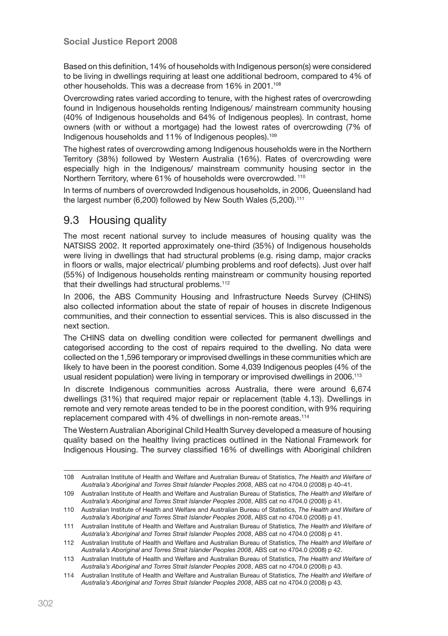Based on this definition, 14% of households with Indigenous person(s) were considered to be living in dwellings requiring at least one additional bedroom, compared to 4% of other households. This was a decrease from 16% in 2001.<sup>108</sup>

Overcrowding rates varied according to tenure, with the highest rates of overcrowding found in Indigenous households renting Indigenous/ mainstream community housing (40% of Indigenous households and 64% of Indigenous peoples). In contrast, home owners (with or without a mortgage) had the lowest rates of overcrowding (7% of Indigenous households and 11% of Indigenous peoples).109

The highest rates of overcrowding among Indigenous households were in the Northern Territory (38%) followed by Western Australia (16%). Rates of overcrowding were especially high in the Indigenous/ mainstream community housing sector in the Northern Territory, where 61% of households were overcrowded. 110

In terms of numbers of overcrowded Indigenous households, in 2006, Queensland had the largest number (6,200) followed by New South Wales (5,200).<sup>111</sup>

### 9.3 Housing quality

The most recent national survey to include measures of housing quality was the NATSISS 2002. It reported approximately one-third (35%) of Indigenous households were living in dwellings that had structural problems (e.g. rising damp, major cracks in floors or walls, major electrical/ plumbing problems and roof defects). Just over half (55%) of Indigenous households renting mainstream or community housing reported that their dwellings had structural problems.<sup>112</sup>

In 2006, the ABS Community Housing and Infrastructure Needs Survey (CHINS) also collected information about the state of repair of houses in discrete Indigenous communities, and their connection to essential services. This is also discussed in the next section.

The CHINS data on dwelling condition were collected for permanent dwellings and categorised according to the cost of repairs required to the dwelling. No data were collected on the 1,596 temporary or improvised dwellings in these communities which are likely to have been in the poorest condition. Some 4,039 Indigenous peoples (4% of the usual resident population) were living in temporary or improvised dwellings in 2006.113

In discrete Indigenous communities across Australia, there were around 6,674 dwellings (31%) that required major repair or replacement (table 4.13). Dwellings in remote and very remote areas tended to be in the poorest condition, with 9% requiring replacement compared with 4% of dwellings in non-remote areas.<sup>114</sup>

The Western Australian Aboriginal Child Health Survey developed a measure of housing quality based on the healthy living practices outlined in the National Framework for Indigenous Housing. The survey classified 16% of dwellings with Aboriginal children

<sup>108</sup> Australian Institute of Health and Welfare and Australian Bureau of Statistics, *The Health and Welfare of Australia's Aboriginal and Torres Strait Islander Peoples 2008*, ABS cat no 4704.0 (2008) p 40–41.

<sup>109</sup> Australian Institute of Health and Welfare and Australian Bureau of Statistics, *The Health and Welfare of Australia's Aboriginal and Torres Strait Islander Peoples 2008*, ABS cat no 4704.0 (2008) p 41.

<sup>110</sup> Australian Institute of Health and Welfare and Australian Bureau of Statistics, *The Health and Welfare of Australia's Aboriginal and Torres Strait Islander Peoples 2008*, ABS cat no 4704.0 (2008) p 41.

<sup>111</sup> Australian Institute of Health and Welfare and Australian Bureau of Statistics, *The Health and Welfare of Australia's Aboriginal and Torres Strait Islander Peoples 2008*, ABS cat no 4704.0 (2008) p 41.

<sup>112</sup> Australian Institute of Health and Welfare and Australian Bureau of Statistics, *The Health and Welfare of Australia's Aboriginal and Torres Strait Islander Peoples 2008*, ABS cat no 4704.0 (2008) p 42.

<sup>113</sup> Australian Institute of Health and Welfare and Australian Bureau of Statistics, *The Health and Welfare of Australia's Aboriginal and Torres Strait Islander Peoples 2008*, ABS cat no 4704.0 (2008) p 43.

<sup>114</sup> Australian Institute of Health and Welfare and Australian Bureau of Statistics, *The Health and Welfare of Australia's Aboriginal and Torres Strait Islander Peoples 2008*, ABS cat no 4704.0 (2008) p 43.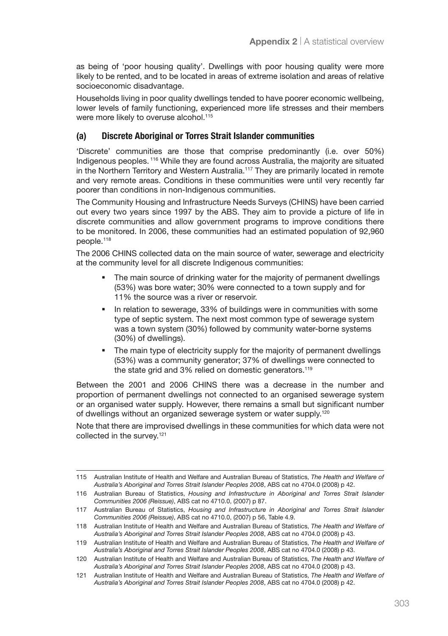as being of 'poor housing quality'. Dwellings with poor housing quality were more likely to be rented, and to be located in areas of extreme isolation and areas of relative socioeconomic disadvantage.

Households living in poor quality dwellings tended to have poorer economic wellbeing, lower levels of family functioning, experienced more life stresses and their members were more likely to overuse alcohol.<sup>115</sup>

#### (a) Discrete Aboriginal or Torres Strait Islander communities

'Discrete' communities are those that comprise predominantly (i.e. over 50%) Indigenous peoples. 116 While they are found across Australia, the majority are situated in the Northern Territory and Western Australia.117 They are primarily located in remote and very remote areas. Conditions in these communities were until very recently far poorer than conditions in non-Indigenous communities.

The Community Housing and Infrastructure Needs Surveys (CHINS) have been carried out every two years since 1997 by the ABS. They aim to provide a picture of life in discrete communities and allow government programs to improve conditions there to be monitored. In 2006, these communities had an estimated population of 92,960 people.118

The 2006 CHINS collected data on the main source of water, sewerage and electricity at the community level for all discrete Indigenous communities:

- The main source of drinking water for the majority of permanent dwellings (53%) was bore water; 30% were connected to a town supply and for 11% the source was a river or reservoir.
- In relation to sewerage, 33% of buildings were in communities with some type of septic system. The next most common type of sewerage system was a town system (30%) followed by community water-borne systems (30%) of dwellings).
- The main type of electricity supply for the majority of permanent dwellings (53%) was a community generator; 37% of dwellings were connected to the state grid and 3% relied on domestic generators.<sup>119</sup>

Between the 2001 and 2006 CHINS there was a decrease in the number and proportion of permanent dwellings not connected to an organised sewerage system or an organised water supply. However, there remains a small but significant number of dwellings without an organized sewerage system or water supply.120

Note that there are improvised dwellings in these communities for which data were not collected in the survey.121

<sup>115</sup> Australian Institute of Health and Welfare and Australian Bureau of Statistics, *The Health and Welfare of Australia's Aboriginal and Torres Strait Islander Peoples 2008*, ABS cat no 4704.0 (2008) p 42.

<sup>116</sup> Australian Bureau of Statistics, *Housing and Infrastructure in Aboriginal and Torres Strait Islander Communities 2006 (Reissue)*, ABS cat no 4710.0, (2007) p 87.

<sup>117</sup> Australian Bureau of Statistics, *Housing and Infrastructure in Aboriginal and Torres Strait Islander Communities 2006 (Reissue)*, ABS cat no 4710.0, (2007) p 56, Table 4.9.

<sup>118</sup> Australian Institute of Health and Welfare and Australian Bureau of Statistics, *The Health and Welfare of Australia's Aboriginal and Torres Strait Islander Peoples 2008*, ABS cat no 4704.0 (2008) p 43.

<sup>119</sup> Australian Institute of Health and Welfare and Australian Bureau of Statistics, *The Health and Welfare of Australia's Aboriginal and Torres Strait Islander Peoples 2008*, ABS cat no 4704.0 (2008) p 43.

<sup>120</sup> Australian Institute of Health and Welfare and Australian Bureau of Statistics, *The Health and Welfare of Australia's Aboriginal and Torres Strait Islander Peoples 2008*, ABS cat no 4704.0 (2008) p 43.

<sup>121</sup> Australian Institute of Health and Welfare and Australian Bureau of Statistics, *The Health and Welfare of Australia's Aboriginal and Torres Strait Islander Peoples 2008*, ABS cat no 4704.0 (2008) p 42.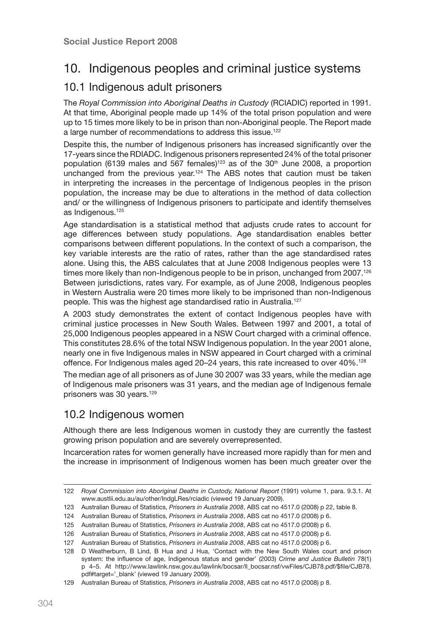# 10. Indigenous peoples and criminal justice systems

### 10.1 Indigenous adult prisoners

The *Royal Commission into Aboriginal Deaths in Custody* (RCIADIC) reported in 1991. At that time, Aboriginal people made up 14% of the total prison population and were up to 15 times more likely to be in prison than non-Aboriginal people. The Report made a large number of recommendations to address this issue.122

Despite this, the number of Indigenous prisoners has increased significantly over the 17-years since the RDIADC. Indigenous prisoners represented 24% of the total prisoner population (6139 males and 567 females)<sup>123</sup> as of the  $30<sup>th</sup>$  June 2008, a proportion unchanged from the previous year.<sup>124</sup> The ABS notes that caution must be taken in interpreting the increases in the percentage of Indigenous peoples in the prison population, the increase may be due to alterations in the method of data collection and/ or the willingness of Indigenous prisoners to participate and identify themselves as Indigenous.<sup>125</sup>

Age standardisation is a statistical method that adjusts crude rates to account for age differences between study populations. Age standardisation enables better comparisons between different populations. In the context of such a comparison, the key variable interests are the ratio of rates, rather than the age standardised rates alone. Using this, the ABS calculates that at June 2008 Indigenous peoples were 13 times more likely than non-Indigenous people to be in prison, unchanged from 2007.<sup>126</sup> Between jurisdictions, rates vary. For example, as of June 2008, Indigenous peoples in Western Australia were 20 times more likely to be imprisoned than non-Indigenous people. This was the highest age standardised ratio in Australia.127

A 2003 study demonstrates the extent of contact Indigenous peoples have with criminal justice processes in New South Wales. Between 1997 and 2001, a total of 25,000 Indigenous peoples appeared in a NSW Court charged with a criminal offence. This constitutes 28.6% of the total NSW Indigenous population. In the year 2001 alone, nearly one in five Indigenous males in NSW appeared in Court charged with a criminal offence. For Indigenous males aged 20–24 years, this rate increased to over 40%.128

The median age of all prisoners as of June 30 2007 was 33 years, while the median age of Indigenous male prisoners was 31 years, and the median age of Indigenous female prisoners was 30 years.129

### 10.2 Indigenous women

Although there are less Indigenous women in custody they are currently the fastest growing prison population and are severely overrepresented.

Incarceration rates for women generally have increased more rapidly than for men and the increase in imprisonment of Indigenous women has been much greater over the

<sup>122</sup> *Royal Commission into Aboriginal Deaths in Custody, National Report* (1991) volume 1, para. 9.3.1. At www.austlii.edu.au/au/other/IndgLRes/rciadic (viewed 19 January 2009).

<sup>123</sup> Australian Bureau of Statistics, *Prisoners in Australia 2008*, ABS cat no 4517.0 (2008) p 22, table 8.

<sup>124</sup> Australian Bureau of Statistics, *Prisoners in Australia 2008*, ABS cat no 4517.0 (2008) p 6.

<sup>125</sup> Australian Bureau of Statistics, *Prisoners in Australia 2008*, ABS cat no 4517.0 (2008) p 6.

<sup>126</sup> Australian Bureau of Statistics, *Prisoners in Australia 2008*, ABS cat no 4517.0 (2008) p 6.

<sup>127</sup> Australian Bureau of Statistics, *Prisoners in Australia 2008*, ABS cat no 4517.0 (2008) p 6.

<sup>128</sup> D Weatherburn, B Lind, B Hua and J Hua, 'Contact with the New South Wales court and prison system: the influence of age, Indigenous status and gender' (2003) *Crime and Justice Bulletin* 78(1) p 4–5. At http://www.lawlink.nsw.gov.au/lawlink/bocsar/ll\_bocsar.nsf/vwFiles/CJB78.pdf/\$file/CJB78. pdf#target=' blank' (viewed 19 January 2009).

<sup>129</sup> Australian Bureau of Statistics, *Prisoners in Australia 2008*, ABS cat no 4517.0 (2008) p 8.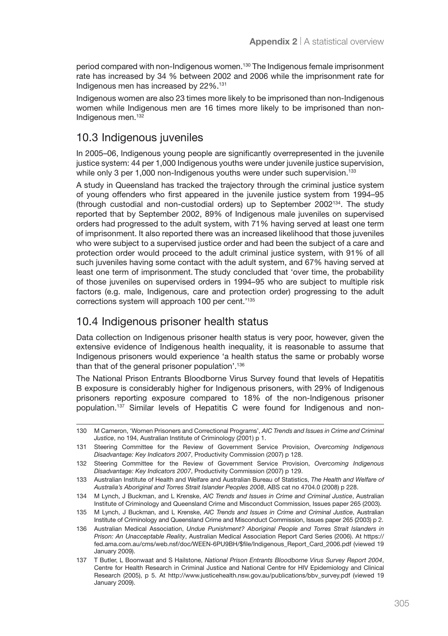period compared with non-Indigenous women.130 The Indigenous female imprisonment rate has increased by 34 % between 2002 and 2006 while the imprisonment rate for Indigenous men has increased by 22%.131

Indigenous women are also 23 times more likely to be imprisoned than non-Indigenous women while Indigenous men are 16 times more likely to be imprisoned than non-Indigenous men.132

### 10.3 Indigenous juveniles

In 2005–06, Indigenous young people are significantly overrepresented in the juvenile justice system: 44 per 1,000 Indigenous youths were under juvenile justice supervision, while only 3 per 1,000 non-Indigenous youths were under such supervision.<sup>133</sup>

A study in Queensland has tracked the trajectory through the criminal justice system of young offenders who first appeared in the juvenile justice system from 1994–95 (through custodial and non-custodial orders) up to September 2002134. The study reported that by September 2002, 89% of Indigenous male juveniles on supervised orders had progressed to the adult system, with 71% having served at least one term of imprisonment. It also reported there was an increased likelihood that those juveniles who were subject to a supervised justice order and had been the subject of a care and protection order would proceed to the adult criminal justice system, with 91% of all such juveniles having some contact with the adult system, and 67% having served at least one term of imprisonment. The study concluded that 'over time, the probability of those juveniles on supervised orders in 1994–95 who are subject to multiple risk factors (e.g. male, Indigenous, care and protection order) progressing to the adult corrections system will approach 100 per cent.'135

#### 10.4 Indigenous prisoner health status

Data collection on Indigenous prisoner health status is very poor, however, given the extensive evidence of Indigenous health inequality, it is reasonable to assume that Indigenous prisoners would experience 'a health status the same or probably worse than that of the general prisoner population'.136

The National Prison Entrants Bloodborne Virus Survey found that levels of Hepatitis B exposure is considerably higher for Indigenous prisoners, with 29% of Indigenous prisoners reporting exposure compared to 18% of the non-Indigenous prisoner population.137 Similar levels of Hepatitis C were found for Indigenous and non-

<sup>130</sup> M Cameron, 'Women Prisoners and Correctional Programs', *AIC Trends and Issues in Crime and Criminal Justice*, no 194, Australian Institute of Criminology (2001) p 1.

<sup>131</sup> Steering Committee for the Review of Government Service Provision, *Overcoming Indigenous Disadvantage: Key Indicators 2007*, Productivity Commission (2007) p 128.

<sup>132</sup> Steering Committee for the Review of Government Service Provision, *Overcoming Indigenous Disadvantage: Key Indicators 2007*, Productivity Commission (2007) p 129.

<sup>133</sup> Australian Institute of Health and Welfare and Australian Bureau of Statistics, *The Health and Welfare of Australia's Aboriginal and Torres Strait Islander Peoples 2008*, ABS cat no 4704.0 (2008) p 228.

<sup>134</sup> M Lynch, J Buckman, and L Krenske, *AIC Trends and Issues in Crime and Criminal Justice*, Australian Institute of Criminology and Queensland Crime and Misconduct Commission, Issues paper 265 (2003).

<sup>135</sup> M Lynch, J Buckman, and L Krenske, *AIC Trends and Issues in Crime and Criminal Justice*, Australian Institute of Criminology and Queensland Crime and Misconduct Commission, Issues paper 265 (2003) p 2.

<sup>136</sup> Australian Medical Association, *Undue Punishment? Aboriginal People and Torres Strait Islanders in Prison: An Unacceptable Reality*, Australian Medical Association Report Card Series (2006). At https:// fed.ama.com.au/cms/web.nsf/doc/WEEN-6PU9BH/\$file/Indigenous\_Report\_Card\_2006.pdf (viewed 19 January 2009).

<sup>137</sup> T Butler, L Boonwaat and S Hailstone, *National Prison Entrants Bloodborne Virus Survey Report 2004*, Centre for Health Research in Criminal Justice and National Centre for HIV Epidemiology and Clinical Research (2005), p 5. At http://www.justicehealth.nsw.gov.au/publications/bbv\_survey.pdf (viewed 19 January 2009).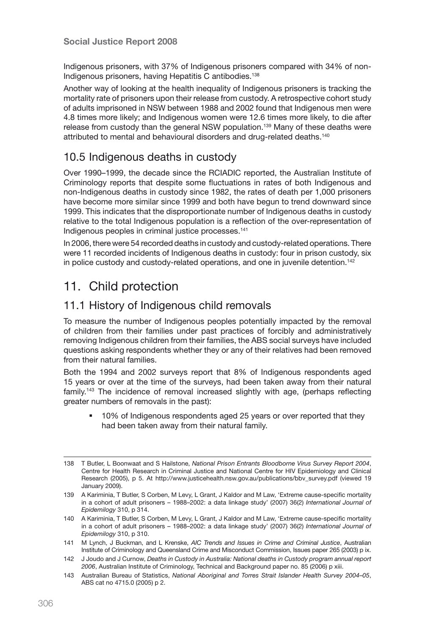Indigenous prisoners, with 37% of Indigenous prisoners compared with 34% of non-Indigenous prisoners, having Hepatitis C antibodies.138

Another way of looking at the health inequality of Indigenous prisoners is tracking the mortality rate of prisoners upon their release from custody. A retrospective cohort study of adults imprisoned in NSW between 1988 and 2002 found that Indigenous men were 4.8 times more likely; and Indigenous women were 12.6 times more likely, to die after release from custody than the general NSW population.<sup>139</sup> Many of these deaths were attributed to mental and behavioural disorders and drug-related deaths.140

#### 10.5 Indigenous deaths in custody

Over 1990–1999, the decade since the RCIADIC reported, the Australian Institute of Criminology reports that despite some fluctuations in rates of both Indigenous and non-Indigenous deaths in custody since 1982, the rates of death per 1,000 prisoners have become more similar since 1999 and both have begun to trend downward since 1999. This indicates that the disproportionate number of Indigenous deaths in custody relative to the total Indigenous population is a reflection of the over-representation of Indigenous peoples in criminal justice processes.141

In 2006, there were 54 recorded deaths in custody and custody-related operations. There were 11 recorded incidents of Indigenous deaths in custody: four in prison custody, six in police custody and custody-related operations, and one in juvenile detention.<sup>142</sup>

# 11. Child protection

#### 11.1 History of Indigenous child removals

To measure the number of Indigenous peoples potentially impacted by the removal of children from their families under past practices of forcibly and administratively removing Indigenous children from their families, the ABS social surveys have included questions asking respondents whether they or any of their relatives had been removed from their natural families.

Both the 1994 and 2002 surveys report that 8% of Indigenous respondents aged 15 years or over at the time of the surveys, had been taken away from their natural family.143 The incidence of removal increased slightly with age, (perhaps reflecting greater numbers of removals in the past):

 10% of Indigenous respondents aged 25 years or over reported that they had been taken away from their natural family.

<sup>138</sup> T Butler, L Boonwaat and S Hailstone, *National Prison Entrants Bloodborne Virus Survey Report 2004*, Centre for Health Research in Criminal Justice and National Centre for HIV Epidemiology and Clinical Research (2005), p 5. At http://www.justicehealth.nsw.gov.au/publications/bby\_survey.pdf (viewed 19 January 2009).

<sup>139</sup> A Kariminia, T Butler, S Corben, M Levy, L Grant, J Kaldor and M Law, 'Extreme cause-specific mortality in a cohort of adult prisoners – 1988–2002: a data linkage study' (2007) 36(2) *International Journal of Epidemilogy* 310, p 314.

<sup>140</sup> A Kariminia, T Butler, S Corben, M Levy, L Grant, J Kaldor and M Law, 'Extreme cause-specific mortality in a cohort of adult prisoners – 1988–2002: a data linkage study' (2007) 36(2) *International Journal of Epidemilogy* 310, p 310.

<sup>141</sup> M Lynch, J Buckman, and L Krenske, *AIC Trends and Issues in Crime and Criminal Justice*, Australian Institute of Criminology and Queensland Crime and Misconduct Commission, Issues paper 265 (2003) p ix.

<sup>142</sup> J Joudo and J Curnow, *Deaths in Custody in Australia: National deaths in Custody program annual report 2006*, Australian Institute of Criminology, Technical and Background paper no. 85 (2006) p xiii.

<sup>143</sup> Australian Bureau of Statistics, *National Aboriginal and Torres Strait Islander Health Survey 2004–05*, ABS cat no 4715.0 (2005) p 2.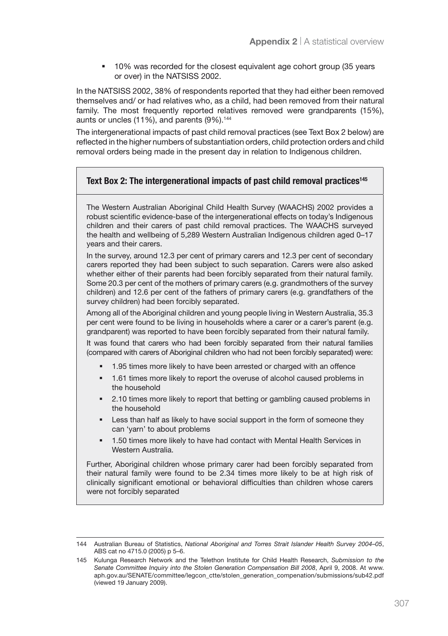<sup>10%</sup> was recorded for the closest equivalent age cohort group (35 years or over) in the NATSISS 2002.

In the NATSISS 2002, 38% of respondents reported that they had either been removed themselves and/ or had relatives who, as a child, had been removed from their natural family. The most frequently reported relatives removed were grandparents (15%), aunts or uncles (11%), and parents (9%).<sup>144</sup>

The intergenerational impacts of past child removal practices (see Text Box 2 below) are reflected in the higher numbers of substantiation orders, child protection orders and child removal orders being made in the present day in relation to Indigenous children.

#### Text Box 2: The intergenerational impacts of past child removal practices<sup>145</sup>

The Western Australian Aboriginal Child Health Survey (WAACHS) 2002 provides a robust scientific evidence-base of the intergenerational effects on today's Indigenous children and their carers of past child removal practices. The WAACHS surveyed the health and wellbeing of 5,289 Western Australian Indigenous children aged 0–17 years and their carers.

In the survey, around 12.3 per cent of primary carers and 12.3 per cent of secondary carers reported they had been subject to such separation. Carers were also asked whether either of their parents had been forcibly separated from their natural family. Some 20.3 per cent of the mothers of primary carers (e.g. grandmothers of the survey children) and 12.6 per cent of the fathers of primary carers (e.g. grandfathers of the survey children) had been forcibly separated.

Among all of the Aboriginal children and young people living in Western Australia, 35.3 per cent were found to be living in households where a carer or a carer's parent (e.g. grandparent) was reported to have been forcibly separated from their natural family.

It was found that carers who had been forcibly separated from their natural families (compared with carers of Aboriginal children who had not been forcibly separated) were:

- 1.95 times more likely to have been arrested or charged with an offence
- <sup>1</sup> 1.61 times more likely to report the overuse of alcohol caused problems in the household
- 2.10 times more likely to report that betting or gambling caused problems in the household
- **Less than half as likely to have social support in the form of someone they** can 'yarn' to about problems
- 1.50 times more likely to have had contact with Mental Health Services in Western Australia.

Further, Aboriginal children whose primary carer had been forcibly separated from their natural family were found to be 2.34 times more likely to be at high risk of clinically significant emotional or behavioral difficulties than children whose carers were not forcibly separated

<sup>144</sup> Australian Bureau of Statistics, *National Aboriginal and Torres Strait Islander Health Survey 2004–05*, ABS cat no 4715.0 (2005) p 5–6.

<sup>145</sup> Kulunga Research Network and the Telethon Institute for Child Health Research, *Submission to the Senate Committee Inquiry into the Stolen Generation Compensation Bill 2008*, April 9, 2008. At www. aph.gov.au/SENATE/committee/legcon\_ctte/stolen\_generation\_compenation/submissions/sub42.pdf (viewed 19 January 2009).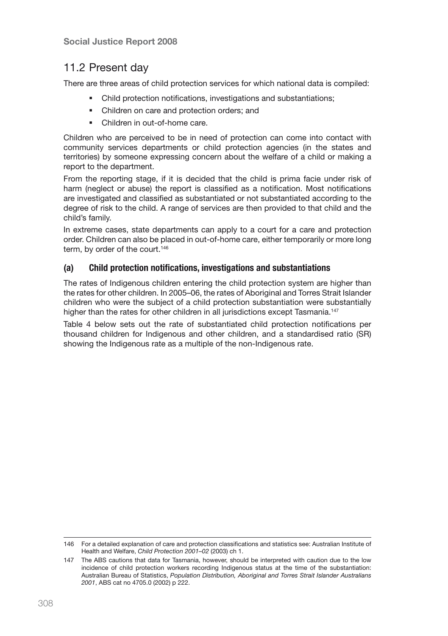### 11.2 Present day

There are three areas of child protection services for which national data is compiled:

- Child protection notifications, investigations and substantiations;
- Children on care and protection orders; and
- Children in out-of-home care.

Children who are perceived to be in need of protection can come into contact with community services departments or child protection agencies (in the states and territories) by someone expressing concern about the welfare of a child or making a report to the department.

From the reporting stage, if it is decided that the child is prima facie under risk of harm (neglect or abuse) the report is classified as a notification. Most notifications are investigated and classified as substantiated or not substantiated according to the degree of risk to the child. A range of services are then provided to that child and the child's family.

In extreme cases, state departments can apply to a court for a care and protection order. Children can also be placed in out-of-home care, either temporarily or more long term, by order of the court.<sup>146</sup>

#### (a) Child protection notifications, investigations and substantiations

The rates of Indigenous children entering the child protection system are higher than the rates for other children. In 2005–06, the rates of Aboriginal and Torres Strait Islander children who were the subject of a child protection substantiation were substantially higher than the rates for other children in all jurisdictions except Tasmania.<sup>147</sup>

Table 4 below sets out the rate of substantiated child protection notifications per thousand children for Indigenous and other children, and a standardised ratio (SR) showing the Indigenous rate as a multiple of the non-Indigenous rate.

<sup>146</sup> For a detailed explanation of care and protection classifications and statistics see: Australian Institute of Health and Welfare, *Child Protection 2001–02* (2003) ch 1.

<sup>147</sup> The ABS cautions that data for Tasmania, however, should be interpreted with caution due to the low incidence of child protection workers recording Indigenous status at the time of the substantiation: Australian Bureau of Statistics, *Population Distribution, Aboriginal and Torres Strait Islander Australians 2001*, ABS cat no 4705.0 (2002) p 222.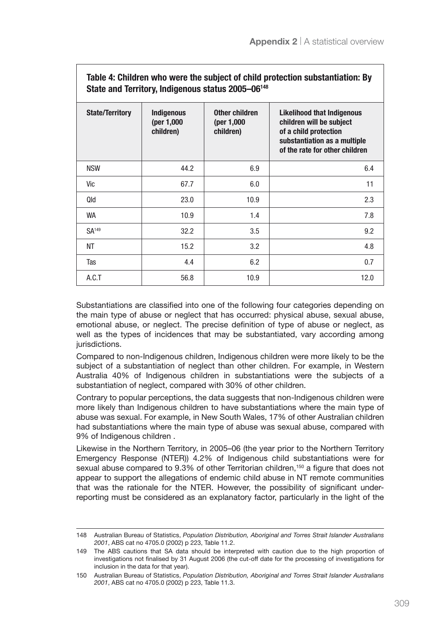| Table 4: Children who were the subject of child protection substantiation: By<br>State and Territory, Indigenous status 2005-06 <sup>148</sup> |                                              |                                            |                                                                                                                                                          |
|------------------------------------------------------------------------------------------------------------------------------------------------|----------------------------------------------|--------------------------------------------|----------------------------------------------------------------------------------------------------------------------------------------------------------|
| <b>State/Territory</b>                                                                                                                         | <b>Indigenous</b><br>(per 1,000<br>children) | Other children<br>(per 1,000)<br>children) | <b>Likelihood that Indigenous</b><br>children will be subject<br>of a child protection<br>substantiation as a multiple<br>of the rate for other children |
| <b>NSW</b>                                                                                                                                     | 44.2                                         | 6.9                                        | 6.4                                                                                                                                                      |
| Vic                                                                                                                                            | 67.7                                         | 6.0                                        | 11                                                                                                                                                       |
| Qld                                                                                                                                            | 23.0                                         | 10.9                                       | 2.3                                                                                                                                                      |
| WA                                                                                                                                             | 10.9                                         | 1.4                                        | 7.8                                                                                                                                                      |
| <b>SA</b> <sup>149</sup>                                                                                                                       | 32.2                                         | 3.5                                        | 9.2                                                                                                                                                      |
| NΤ                                                                                                                                             | 15.2                                         | 3.2                                        | 4.8                                                                                                                                                      |
| Tas                                                                                                                                            | 4.4                                          | 6.2                                        | 0.7                                                                                                                                                      |
| A.C.T                                                                                                                                          | 56.8                                         | 10.9                                       | 12.0                                                                                                                                                     |

Substantiations are classified into one of the following four categories depending on the main type of abuse or neglect that has occurred: physical abuse, sexual abuse, emotional abuse, or neglect. The precise definition of type of abuse or neglect, as well as the types of incidences that may be substantiated, vary according among jurisdictions.

Compared to non-Indigenous children, Indigenous children were more likely to be the subject of a substantiation of neglect than other children. For example, in Western Australia 40% of Indigenous children in substantiations were the subjects of a substantiation of neglect, compared with 30% of other children.

Contrary to popular perceptions, the data suggests that non-Indigenous children were more likely than Indigenous children to have substantiations where the main type of abuse was sexual. For example, in New South Wales, 17% of other Australian children had substantiations where the main type of abuse was sexual abuse, compared with 9% of Indigenous children .

Likewise in the Northern Territory, in 2005–06 (the year prior to the Northern Territory Emergency Response (NTER)) 4.2% of Indigenous child substantiations were for sexual abuse compared to 9.3% of other Territorian children,<sup>150</sup> a figure that does not appear to support the allegations of endemic child abuse in NT remote communities that was the rationale for the NTER. However, the possibility of significant underreporting must be considered as an explanatory factor, particularly in the light of the

<sup>148</sup> Australian Bureau of Statistics, *Population Distribution, Aboriginal and Torres Strait Islander Australians 2001*, ABS cat no 4705.0 (2002) p 223, Table 11.2.

<sup>149</sup> The ABS cautions that SA data should be interpreted with caution due to the high proportion of investigations not finalised by 31 August 2006 (the cut-off date for the processing of investigations for inclusion in the data for that year).

<sup>150</sup> Australian Bureau of Statistics, *Population Distribution, Aboriginal and Torres Strait Islander Australians 2001*, ABS cat no 4705.0 (2002) p 223, Table 11.3.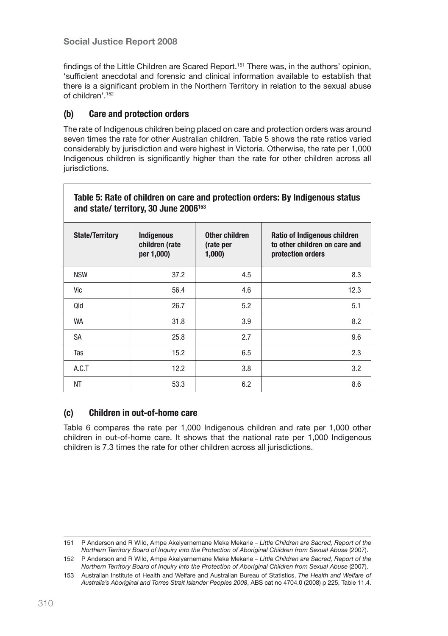findings of the Little Children are Scared Report.<sup>151</sup> There was, in the authors' opinion, 'sufficient anecdotal and forensic and clinical information available to establish that there is a significant problem in the Northern Territory in relation to the sexual abuse of children'.152

#### (b) Care and protection orders

The rate of Indigenous children being placed on care and protection orders was around seven times the rate for other Australian children. Table 5 shows the rate ratios varied considerably by jurisdiction and were highest in Victoria. Otherwise, the rate per 1,000 Indigenous children is significantly higher than the rate for other children across all jurisdictions.

| Table 5: Rate of children on care and protection orders: By Indigenous status<br>and state/ territory, 30 June 2006 <sup>153</sup> |                                                   |                                      |                                                                                    |  |
|------------------------------------------------------------------------------------------------------------------------------------|---------------------------------------------------|--------------------------------------|------------------------------------------------------------------------------------|--|
| <b>State/Territory</b>                                                                                                             | <b>Indigenous</b><br>children (rate<br>per 1,000) | Other children<br>(rate per<br>1,000 | Ratio of Indigenous children<br>to other children on care and<br>protection orders |  |
| <b>NSW</b>                                                                                                                         | 37.2                                              | 4.5                                  | 8.3                                                                                |  |
| Vic                                                                                                                                | 56.4                                              | 4.6                                  | 12.3                                                                               |  |
| Qld                                                                                                                                | 26.7                                              | 5.2                                  | 5.1                                                                                |  |
| WA                                                                                                                                 | 31.8                                              | 3.9                                  | 8.2                                                                                |  |
| SA                                                                                                                                 | 25.8                                              | 2.7                                  | 9.6                                                                                |  |
| Tas                                                                                                                                | 15.2                                              | 6.5                                  | 2.3                                                                                |  |
| A.C.T                                                                                                                              | 12.2                                              | 3.8                                  | 3.2                                                                                |  |
| NΤ                                                                                                                                 | 53.3                                              | 6.2                                  | 8.6                                                                                |  |

#### (c) Children in out-of-home care /

Table 6 compares the rate per 1,000 Indigenous children and rate per 1,000 other children in out-of-home care. It shows that the national rate per 1,000 Indigenous children is 7.3 times the rate for other children across all jurisdictions.

<sup>151</sup> P Anderson and R Wild, Ampe Akelyernemane Meke Mekarle – *Little Children are Sacred, Report of the Northern Territory Board of Inquiry into the Protection of Aboriginal Children from Sexual Abuse* (2007).

<sup>152</sup> P Anderson and R Wild, Ampe Akelyernemane Meke Mekarle – *Little Children are Sacred, Report of the Northern Territory Board of Inquiry into the Protection of Aboriginal Children from Sexual Abuse* (2007).

<sup>153</sup> Australian Institute of Health and Welfare and Australian Bureau of Statistics, *The Health and Welfare of Australia's Aboriginal and Torres Strait Islander Peoples 2008*, ABS cat no 4704.0 (2008) p 225, Table 11.4.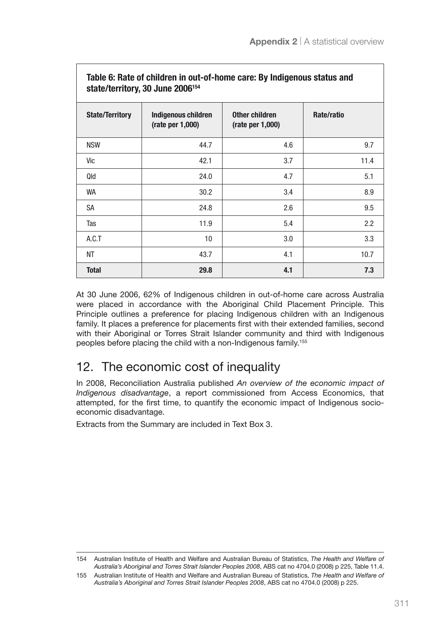| Table 6: Rate of children in out-of-home care: By Indigenous status and<br>state/territory, 30 June 2006 <sup>154</sup> |                                         |                                              |            |
|-------------------------------------------------------------------------------------------------------------------------|-----------------------------------------|----------------------------------------------|------------|
| <b>State/Territory</b>                                                                                                  | Indigenous children<br>(rate per 1,000) | Other children<br>$(\text{rate per } 1,000)$ | Rate/ratio |
| <b>NSW</b>                                                                                                              | 44.7                                    | 4.6                                          | 9.7        |
| Vic                                                                                                                     | 42.1                                    | 3.7                                          | 11.4       |
| Qld                                                                                                                     | 24.0                                    | 4.7                                          | 5.1        |
| WA                                                                                                                      | 30.2                                    | 3.4                                          | 8.9        |
| SA                                                                                                                      | 24.8                                    | 2.6                                          | 9.5        |
| Tas                                                                                                                     | 11.9                                    | 5.4                                          | 2.2        |
| A.C.T                                                                                                                   | 10                                      | 3.0                                          | 3.3        |
| <b>NT</b>                                                                                                               | 43.7                                    | 4.1                                          | 10.7       |
| <b>Total</b>                                                                                                            | 29.8                                    | 4.1                                          | 7.3        |

At 30 June 2006, 62% of Indigenous children in out-of-home care across Australia were placed in accordance with the Aboriginal Child Placement Principle. This Principle outlines a preference for placing Indigenous children with an Indigenous family. It places a preference for placements first with their extended families, second with their Aboriginal or Torres Strait Islander community and third with Indigenous peoples before placing the child with a non-Indigenous family.155

# 12. The economic cost of inequality

In 2008, Reconciliation Australia published *An overview of the economic impact of Indigenous disadvantage*, a report commissioned from Access Economics, that attempted, for the first time, to quantify the economic impact of Indigenous socioeconomic disadvantage.

Extracts from the Summary are included in Text Box 3.

<sup>154</sup> Australian Institute of Health and Welfare and Australian Bureau of Statistics, *The Health and Welfare of Australia's Aboriginal and Torres Strait Islander Peoples 2008*, ABS cat no 4704.0 (2008) p 225, Table 11.4.

<sup>155</sup> Australian Institute of Health and Welfare and Australian Bureau of Statistics, *The Health and Welfare of Australia's Aboriginal and Torres Strait Islander Peoples 2008*, ABS cat no 4704.0 (2008) p 225.